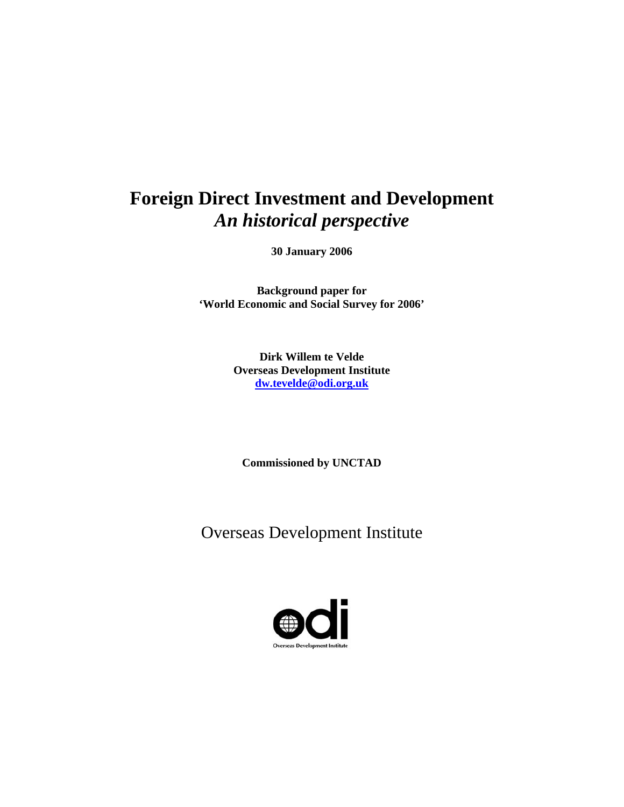# **Foreign Direct Investment and Development**  *An historical perspective*

**30 January 2006** 

**Background paper for 'World Economic and Social Survey for 2006'** 

> **Dirk Willem te Velde Overseas Development Institute dw.tevelde@odi.org.uk**

**Commissioned by UNCTAD** 

Overseas Development Institute

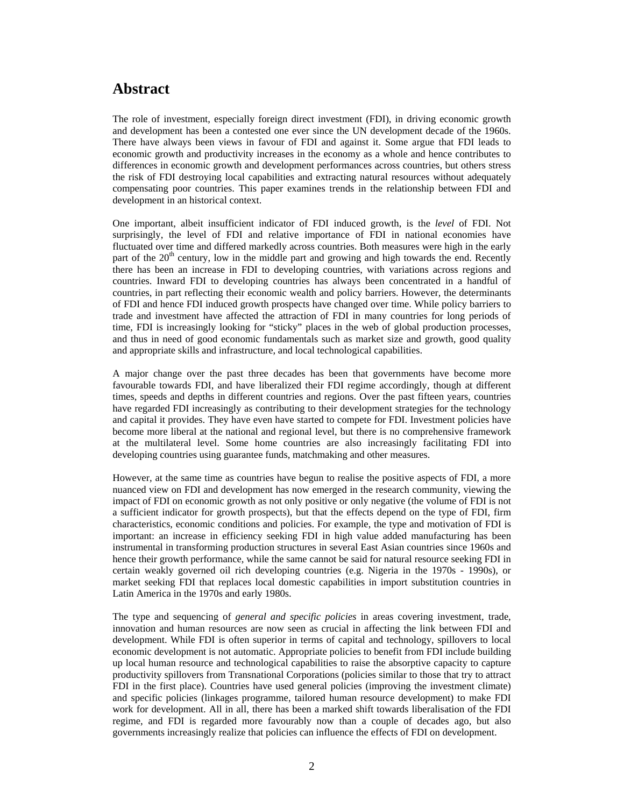## **Abstract**

The role of investment, especially foreign direct investment (FDI), in driving economic growth and development has been a contested one ever since the UN development decade of the 1960s. There have always been views in favour of FDI and against it. Some argue that FDI leads to economic growth and productivity increases in the economy as a whole and hence contributes to differences in economic growth and development performances across countries, but others stress the risk of FDI destroying local capabilities and extracting natural resources without adequately compensating poor countries. This paper examines trends in the relationship between FDI and development in an historical context.

One important, albeit insufficient indicator of FDI induced growth, is the *level* of FDI. Not surprisingly, the level of FDI and relative importance of FDI in national economies have fluctuated over time and differed markedly across countries. Both measures were high in the early part of the 20<sup>th</sup> century, low in the middle part and growing and high towards the end. Recently there has been an increase in FDI to developing countries, with variations across regions and countries. Inward FDI to developing countries has always been concentrated in a handful of countries, in part reflecting their economic wealth and policy barriers. However, the determinants of FDI and hence FDI induced growth prospects have changed over time. While policy barriers to trade and investment have affected the attraction of FDI in many countries for long periods of time, FDI is increasingly looking for "sticky" places in the web of global production processes, and thus in need of good economic fundamentals such as market size and growth, good quality and appropriate skills and infrastructure, and local technological capabilities.

A major change over the past three decades has been that governments have become more favourable towards FDI, and have liberalized their FDI regime accordingly, though at different times, speeds and depths in different countries and regions. Over the past fifteen years, countries have regarded FDI increasingly as contributing to their development strategies for the technology and capital it provides. They have even have started to compete for FDI. Investment policies have become more liberal at the national and regional level, but there is no comprehensive framework at the multilateral level. Some home countries are also increasingly facilitating FDI into developing countries using guarantee funds, matchmaking and other measures.

However, at the same time as countries have begun to realise the positive aspects of FDI, a more nuanced view on FDI and development has now emerged in the research community, viewing the impact of FDI on economic growth as not only positive or only negative (the volume of FDI is not a sufficient indicator for growth prospects), but that the effects depend on the type of FDI, firm characteristics, economic conditions and policies. For example, the type and motivation of FDI is important: an increase in efficiency seeking FDI in high value added manufacturing has been instrumental in transforming production structures in several East Asian countries since 1960s and hence their growth performance, while the same cannot be said for natural resource seeking FDI in certain weakly governed oil rich developing countries (e.g. Nigeria in the 1970s - 1990s), or market seeking FDI that replaces local domestic capabilities in import substitution countries in Latin America in the 1970s and early 1980s.

The type and sequencing of *general and specific policies* in areas covering investment, trade, innovation and human resources are now seen as crucial in affecting the link between FDI and development. While FDI is often superior in terms of capital and technology, spillovers to local economic development is not automatic. Appropriate policies to benefit from FDI include building up local human resource and technological capabilities to raise the absorptive capacity to capture productivity spillovers from Transnational Corporations (policies similar to those that try to attract FDI in the first place). Countries have used general policies (improving the investment climate) and specific policies (linkages programme, tailored human resource development) to make FDI work for development. All in all, there has been a marked shift towards liberalisation of the FDI regime, and FDI is regarded more favourably now than a couple of decades ago, but also governments increasingly realize that policies can influence the effects of FDI on development.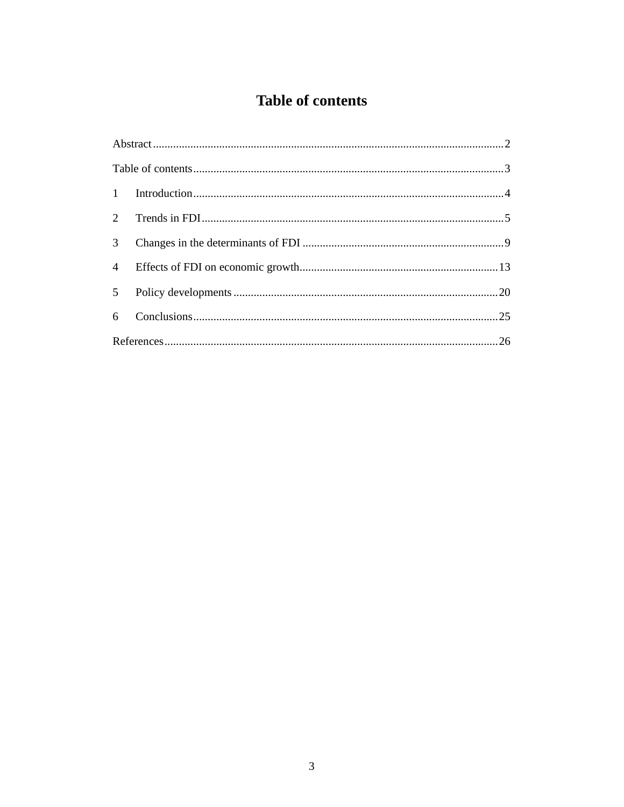## **Table of contents**

| 2              |  |
|----------------|--|
| $\mathfrak{Z}$ |  |
| $\overline{4}$ |  |
| 5 <sup>5</sup> |  |
|                |  |
|                |  |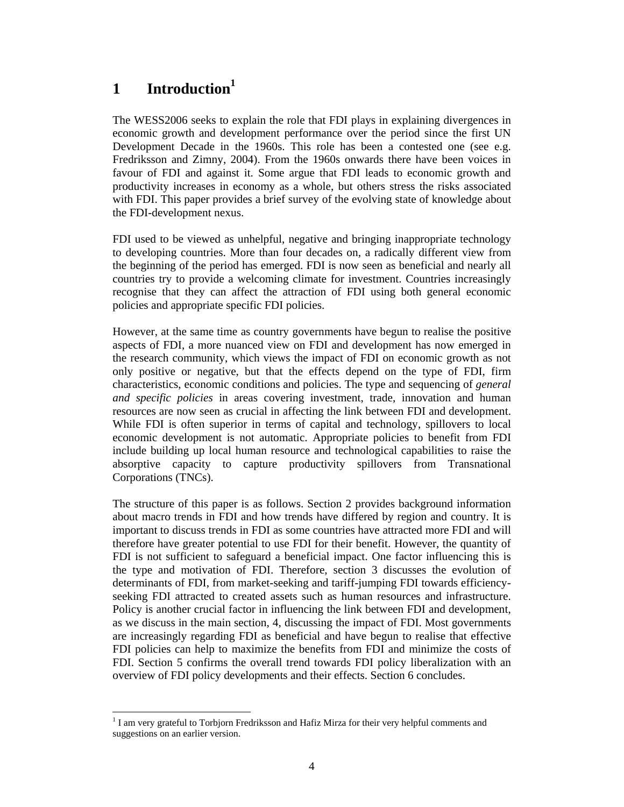## **1 Introduction1**

 $\overline{a}$ 

The WESS2006 seeks to explain the role that FDI plays in explaining divergences in economic growth and development performance over the period since the first UN Development Decade in the 1960s. This role has been a contested one (see e.g. Fredriksson and Zimny, 2004). From the 1960s onwards there have been voices in favour of FDI and against it. Some argue that FDI leads to economic growth and productivity increases in economy as a whole, but others stress the risks associated with FDI. This paper provides a brief survey of the evolving state of knowledge about the FDI-development nexus.

FDI used to be viewed as unhelpful, negative and bringing inappropriate technology to developing countries. More than four decades on, a radically different view from the beginning of the period has emerged. FDI is now seen as beneficial and nearly all countries try to provide a welcoming climate for investment. Countries increasingly recognise that they can affect the attraction of FDI using both general economic policies and appropriate specific FDI policies.

However, at the same time as country governments have begun to realise the positive aspects of FDI, a more nuanced view on FDI and development has now emerged in the research community, which views the impact of FDI on economic growth as not only positive or negative, but that the effects depend on the type of FDI, firm characteristics, economic conditions and policies. The type and sequencing of *general and specific policies* in areas covering investment, trade, innovation and human resources are now seen as crucial in affecting the link between FDI and development. While FDI is often superior in terms of capital and technology, spillovers to local economic development is not automatic. Appropriate policies to benefit from FDI include building up local human resource and technological capabilities to raise the absorptive capacity to capture productivity spillovers from Transnational Corporations (TNCs).

The structure of this paper is as follows. Section 2 provides background information about macro trends in FDI and how trends have differed by region and country. It is important to discuss trends in FDI as some countries have attracted more FDI and will therefore have greater potential to use FDI for their benefit. However, the quantity of FDI is not sufficient to safeguard a beneficial impact. One factor influencing this is the type and motivation of FDI. Therefore, section 3 discusses the evolution of determinants of FDI, from market-seeking and tariff-jumping FDI towards efficiencyseeking FDI attracted to created assets such as human resources and infrastructure. Policy is another crucial factor in influencing the link between FDI and development, as we discuss in the main section, 4, discussing the impact of FDI. Most governments are increasingly regarding FDI as beneficial and have begun to realise that effective FDI policies can help to maximize the benefits from FDI and minimize the costs of FDI. Section 5 confirms the overall trend towards FDI policy liberalization with an overview of FDI policy developments and their effects. Section 6 concludes.

 $1$  I am very grateful to Torbjorn Fredriksson and Hafiz Mirza for their very helpful comments and suggestions on an earlier version.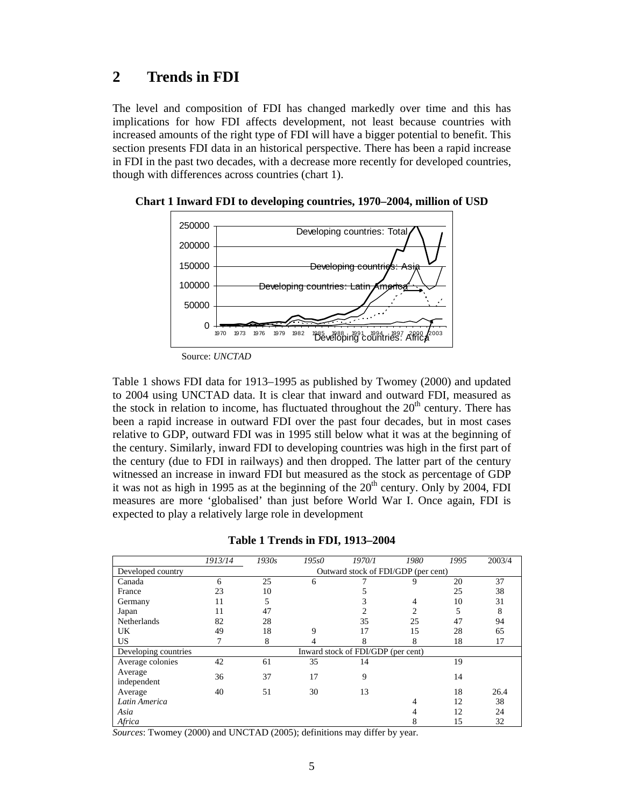### **2 Trends in FDI**

The level and composition of FDI has changed markedly over time and this has implications for how FDI affects development, not least because countries with increased amounts of the right type of FDI will have a bigger potential to benefit. This section presents FDI data in an historical perspective. There has been a rapid increase in FDI in the past two decades, with a decrease more recently for developed countries, though with differences across countries (chart 1).



**Chart 1 Inward FDI to developing countries, 1970–2004, million of USD** 

Table 1 shows FDI data for 1913–1995 as published by Twomey (2000) and updated to 2004 using UNCTAD data. It is clear that inward and outward FDI, measured as the stock in relation to income, has fluctuated throughout the  $20<sup>th</sup>$  century. There has been a rapid increase in outward FDI over the past four decades, but in most cases relative to GDP, outward FDI was in 1995 still below what it was at the beginning of the century. Similarly, inward FDI to developing countries was high in the first part of the century (due to FDI in railways) and then dropped. The latter part of the century witnessed an increase in inward FDI but measured as the stock as percentage of GDP it was not as high in 1995 as at the beginning of the  $20<sup>th</sup>$  century. Only by 2004, FDI measures are more 'globalised' than just before World War I. Once again, FDI is expected to play a relatively large role in development

|                      | 1913/14 | 1930s | 195s0 | 1970/1                              | 1980 | 1995 | 2003/4 |
|----------------------|---------|-------|-------|-------------------------------------|------|------|--------|
| Developed country    |         |       |       | Outward stock of FDI/GDP (per cent) |      |      |        |
| Canada               |         | 25    | n     |                                     |      | 20   | 37     |
| France               | 23      | 10    |       |                                     |      | 25   | 38     |
| Germany              |         |       |       |                                     |      | 10   | 31     |
| Japan                |         | 47    |       |                                     |      |      |        |
| Netherlands          | 82      | 28    |       | 35                                  | 25   | 47   | 94     |
| UK                   | 49      | 18    |       |                                     | 15   | 28   | 65     |
| US                   |         |       |       |                                     | χ,   | 18   |        |
| Developing countries |         |       |       | Inward stock of FDI/GDP (per cent)  |      |      |        |
| Average colonies     | 42      | 61    | 35    | 14                                  |      | 19   |        |

Average 36 37 17 9 14<br>independent

**Table 1 Trends in FDI, 1913–2004** 

*Sources*: Twomey (2000) and UNCTAD (2005); definitions may differ by year.

Average

Average 40 51 30 13 18 26.4 *Latin America* 4 12 38 *Asia* 4 12 24 *Africa* 8 15 32

Source: *UNCTAD*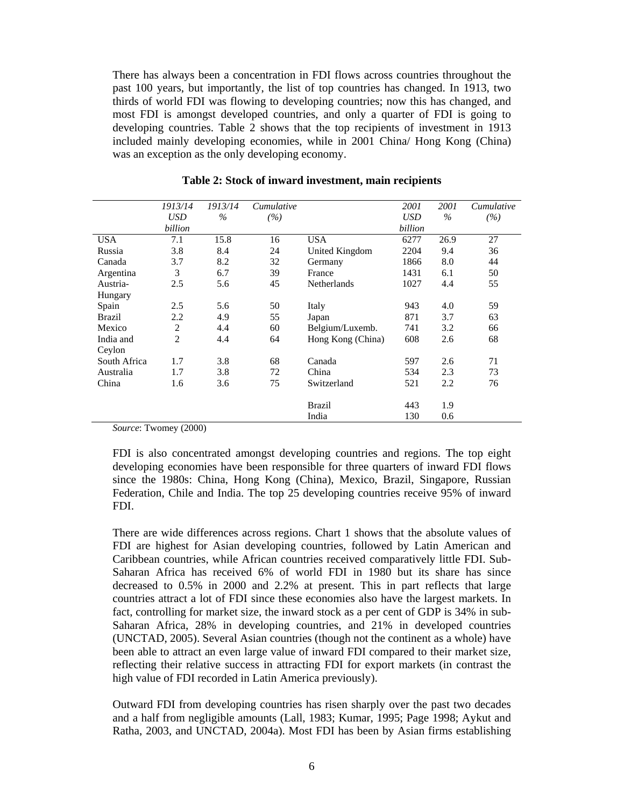There has always been a concentration in FDI flows across countries throughout the past 100 years, but importantly, the list of top countries has changed. In 1913, two thirds of world FDI was flowing to developing countries; now this has changed, and most FDI is amongst developed countries, and only a quarter of FDI is going to developing countries. Table 2 shows that the top recipients of investment in 1913 included mainly developing economies, while in 2001 China/ Hong Kong (China) was an exception as the only developing economy.

|               | 1913/14        | 1913/14 | Cumulative |                    | 2001       | 2001 | Cumulative |
|---------------|----------------|---------|------------|--------------------|------------|------|------------|
|               | <b>USD</b>     | $\%$    | (%)        |                    | <b>USD</b> | $\%$ | (%)        |
|               | billion        |         |            |                    | billion    |      |            |
| <b>USA</b>    | 7.1            | 15.8    | 16         | <b>USA</b>         | 6277       | 26.9 | 27         |
| Russia        | 3.8            | 8.4     | 24         | United Kingdom     | 2204       | 9.4  | 36         |
| Canada        | 3.7            | 8.2     | 32         | Germany            | 1866       | 8.0  | 44         |
| Argentina     | 3              | 6.7     | 39         | France             | 1431       | 6.1  | 50         |
| Austria-      | 2.5            | 5.6     | 45         | <b>Netherlands</b> | 1027       | 4.4  | 55         |
| Hungary       |                |         |            |                    |            |      |            |
| Spain         | 2.5            | 5.6     | 50         | Italy              | 943        | 4.0  | 59         |
| <b>Brazil</b> | 2.2            | 4.9     | 55         | Japan              | 871        | 3.7  | 63         |
| Mexico        | $\overline{2}$ | 4.4     | 60         | Belgium/Luxemb.    | 741        | 3.2  | 66         |
| India and     | $\overline{2}$ | 4.4     | 64         | Hong Kong (China)  | 608        | 2.6  | 68         |
| Ceylon        |                |         |            |                    |            |      |            |
| South Africa  | 1.7            | 3.8     | 68         | Canada             | 597        | 2.6  | 71         |
| Australia     | 1.7            | 3.8     | 72         | China              | 534        | 2.3  | 73         |
| China         | 1.6            | 3.6     | 75         | Switzerland        | 521        | 2.2  | 76         |
|               |                |         |            |                    |            |      |            |
|               |                |         |            | <b>Brazil</b>      | 443        | 1.9  |            |
|               |                |         |            | India              | 130        | 0.6  |            |

#### **Table 2: Stock of inward investment, main recipients**

*Source*: Twomey (2000)

FDI is also concentrated amongst developing countries and regions. The top eight developing economies have been responsible for three quarters of inward FDI flows since the 1980s: China, Hong Kong (China), Mexico, Brazil, Singapore, Russian Federation, Chile and India. The top 25 developing countries receive 95% of inward FDI.

There are wide differences across regions. Chart 1 shows that the absolute values of FDI are highest for Asian developing countries, followed by Latin American and Caribbean countries, while African countries received comparatively little FDI. Sub-Saharan Africa has received 6% of world FDI in 1980 but its share has since decreased to 0.5% in 2000 and 2.2% at present. This in part reflects that large countries attract a lot of FDI since these economies also have the largest markets. In fact, controlling for market size, the inward stock as a per cent of GDP is 34% in sub-Saharan Africa, 28% in developing countries, and 21% in developed countries (UNCTAD, 2005). Several Asian countries (though not the continent as a whole) have been able to attract an even large value of inward FDI compared to their market size, reflecting their relative success in attracting FDI for export markets (in contrast the high value of FDI recorded in Latin America previously).

Outward FDI from developing countries has risen sharply over the past two decades and a half from negligible amounts (Lall, 1983; Kumar, 1995; Page 1998; Aykut and Ratha, 2003, and UNCTAD, 2004a). Most FDI has been by Asian firms establishing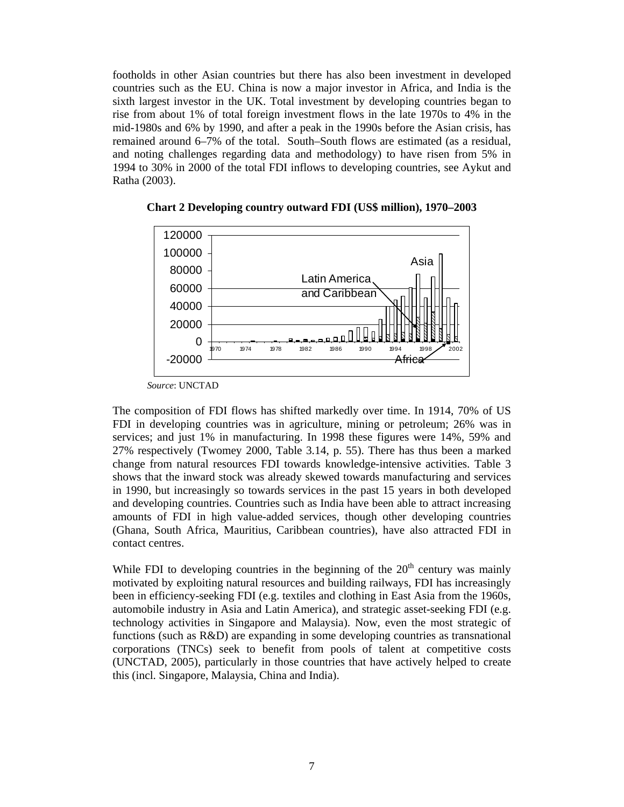footholds in other Asian countries but there has also been investment in developed countries such as the EU. China is now a major investor in Africa, and India is the sixth largest investor in the UK. Total investment by developing countries began to rise from about 1% of total foreign investment flows in the late 1970s to 4% in the mid-1980s and 6% by 1990, and after a peak in the 1990s before the Asian crisis, has remained around 6–7% of the total. South–South flows are estimated (as a residual, and noting challenges regarding data and methodology) to have risen from 5% in 1994 to 30% in 2000 of the total FDI inflows to developing countries, see Aykut and Ratha (2003).



**Chart 2 Developing country outward FDI (US\$ million), 1970–2003** 

The composition of FDI flows has shifted markedly over time. In 1914, 70% of US FDI in developing countries was in agriculture, mining or petroleum; 26% was in services; and just 1% in manufacturing. In 1998 these figures were 14%, 59% and 27% respectively (Twomey 2000, Table 3.14, p. 55). There has thus been a marked change from natural resources FDI towards knowledge-intensive activities. Table 3 shows that the inward stock was already skewed towards manufacturing and services in 1990, but increasingly so towards services in the past 15 years in both developed and developing countries. Countries such as India have been able to attract increasing amounts of FDI in high value-added services, though other developing countries (Ghana, South Africa, Mauritius, Caribbean countries), have also attracted FDI in contact centres.

While FDI to developing countries in the beginning of the  $20<sup>th</sup>$  century was mainly motivated by exploiting natural resources and building railways, FDI has increasingly been in efficiency-seeking FDI (e.g. textiles and clothing in East Asia from the 1960s, automobile industry in Asia and Latin America), and strategic asset-seeking FDI (e.g. technology activities in Singapore and Malaysia). Now, even the most strategic of functions (such as R&D) are expanding in some developing countries as transnational corporations (TNCs) seek to benefit from pools of talent at competitive costs (UNCTAD, 2005), particularly in those countries that have actively helped to create this (incl. Singapore, Malaysia, China and India).

*Source*: UNCTAD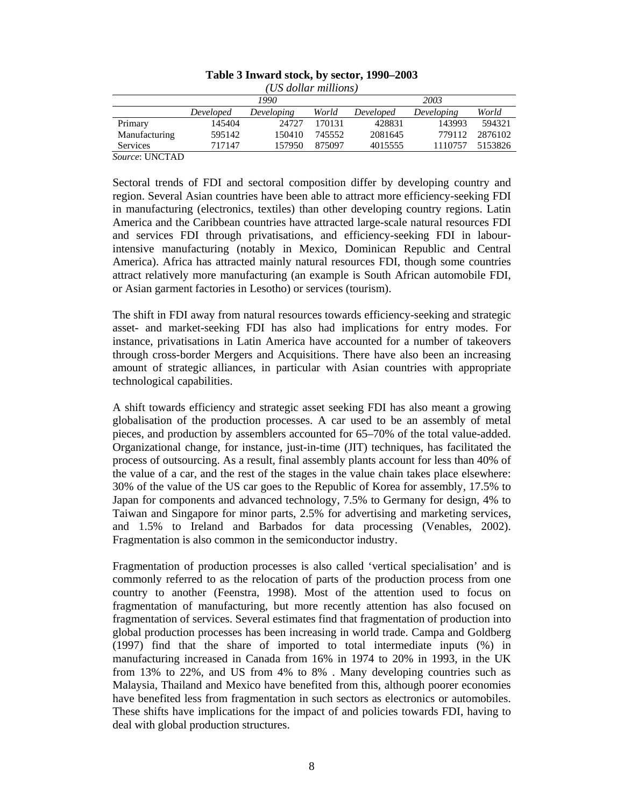| (US dollar millions)                                                 |              |        |        |         |         |         |  |  |  |
|----------------------------------------------------------------------|--------------|--------|--------|---------|---------|---------|--|--|--|
|                                                                      | 1990<br>2003 |        |        |         |         |         |  |  |  |
| World<br>World<br>Developed<br>Developing<br>Developing<br>Developed |              |        |        |         |         |         |  |  |  |
| Primary                                                              | 145404       | 24727  | 170131 | 428831  | 143993  | 594321  |  |  |  |
| Manufacturing                                                        | 595142       | 150410 | 745552 | 2081645 | 779112  | 2876102 |  |  |  |
| <b>Services</b>                                                      | 717147       | 157950 | 875097 | 4015555 | 1110757 | 5153826 |  |  |  |

#### **Table 3 Inward stock, by sector, 1990–2003**

*Source*: UNCTAD

Sectoral trends of FDI and sectoral composition differ by developing country and region. Several Asian countries have been able to attract more efficiency-seeking FDI in manufacturing (electronics, textiles) than other developing country regions. Latin America and the Caribbean countries have attracted large-scale natural resources FDI and services FDI through privatisations, and efficiency-seeking FDI in labourintensive manufacturing (notably in Mexico, Dominican Republic and Central America). Africa has attracted mainly natural resources FDI, though some countries attract relatively more manufacturing (an example is South African automobile FDI, or Asian garment factories in Lesotho) or services (tourism).

The shift in FDI away from natural resources towards efficiency-seeking and strategic asset- and market-seeking FDI has also had implications for entry modes. For instance, privatisations in Latin America have accounted for a number of takeovers through cross-border Mergers and Acquisitions. There have also been an increasing amount of strategic alliances, in particular with Asian countries with appropriate technological capabilities.

A shift towards efficiency and strategic asset seeking FDI has also meant a growing globalisation of the production processes. A car used to be an assembly of metal pieces, and production by assemblers accounted for 65–70% of the total value-added. Organizational change, for instance, just-in-time (JIT) techniques, has facilitated the process of outsourcing. As a result, final assembly plants account for less than 40% of the value of a car, and the rest of the stages in the value chain takes place elsewhere: 30% of the value of the US car goes to the Republic of Korea for assembly, 17.5% to Japan for components and advanced technology, 7.5% to Germany for design, 4% to Taiwan and Singapore for minor parts, 2.5% for advertising and marketing services, and 1.5% to Ireland and Barbados for data processing (Venables, 2002). Fragmentation is also common in the semiconductor industry.

Fragmentation of production processes is also called 'vertical specialisation' and is commonly referred to as the relocation of parts of the production process from one country to another (Feenstra, 1998). Most of the attention used to focus on fragmentation of manufacturing, but more recently attention has also focused on fragmentation of services. Several estimates find that fragmentation of production into global production processes has been increasing in world trade. Campa and Goldberg (1997) find that the share of imported to total intermediate inputs (%) in manufacturing increased in Canada from 16% in 1974 to 20% in 1993, in the UK from 13% to 22%, and US from 4% to 8% . Many developing countries such as Malaysia, Thailand and Mexico have benefited from this, although poorer economies have benefited less from fragmentation in such sectors as electronics or automobiles. These shifts have implications for the impact of and policies towards FDI, having to deal with global production structures.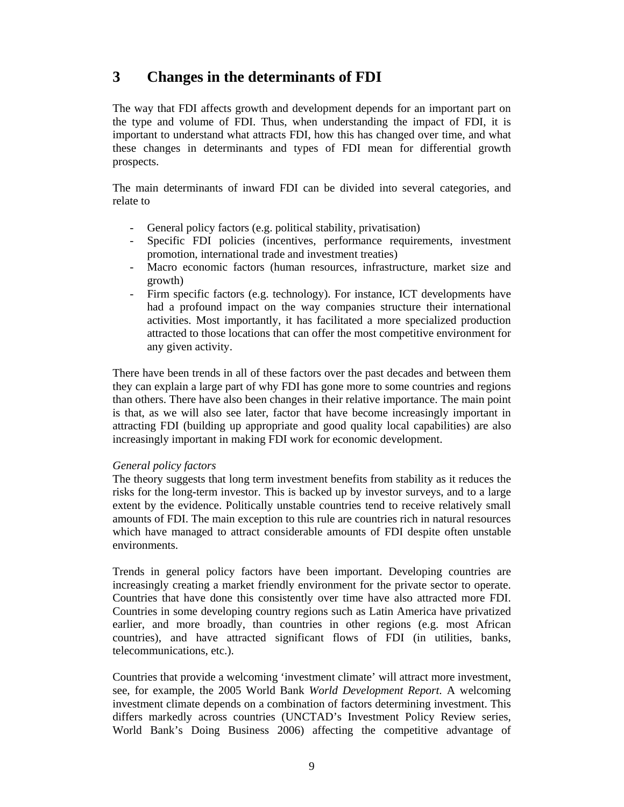## **3 Changes in the determinants of FDI**

The way that FDI affects growth and development depends for an important part on the type and volume of FDI. Thus, when understanding the impact of FDI, it is important to understand what attracts FDI, how this has changed over time, and what these changes in determinants and types of FDI mean for differential growth prospects.

The main determinants of inward FDI can be divided into several categories, and relate to

- General policy factors (e.g. political stability, privatisation)
- Specific FDI policies (incentives, performance requirements, investment promotion, international trade and investment treaties)
- Macro economic factors (human resources, infrastructure, market size and growth)
- Firm specific factors (e.g. technology). For instance, ICT developments have had a profound impact on the way companies structure their international activities. Most importantly, it has facilitated a more specialized production attracted to those locations that can offer the most competitive environment for any given activity.

There have been trends in all of these factors over the past decades and between them they can explain a large part of why FDI has gone more to some countries and regions than others. There have also been changes in their relative importance. The main point is that, as we will also see later, factor that have become increasingly important in attracting FDI (building up appropriate and good quality local capabilities) are also increasingly important in making FDI work for economic development.

#### *General policy factors*

The theory suggests that long term investment benefits from stability as it reduces the risks for the long-term investor. This is backed up by investor surveys, and to a large extent by the evidence. Politically unstable countries tend to receive relatively small amounts of FDI. The main exception to this rule are countries rich in natural resources which have managed to attract considerable amounts of FDI despite often unstable environments.

Trends in general policy factors have been important. Developing countries are increasingly creating a market friendly environment for the private sector to operate. Countries that have done this consistently over time have also attracted more FDI. Countries in some developing country regions such as Latin America have privatized earlier, and more broadly, than countries in other regions (e.g. most African countries), and have attracted significant flows of FDI (in utilities, banks, telecommunications, etc.).

Countries that provide a welcoming 'investment climate' will attract more investment, see, for example, the 2005 World Bank *World Development Report*. A welcoming investment climate depends on a combination of factors determining investment. This differs markedly across countries (UNCTAD's Investment Policy Review series, World Bank's Doing Business 2006) affecting the competitive advantage of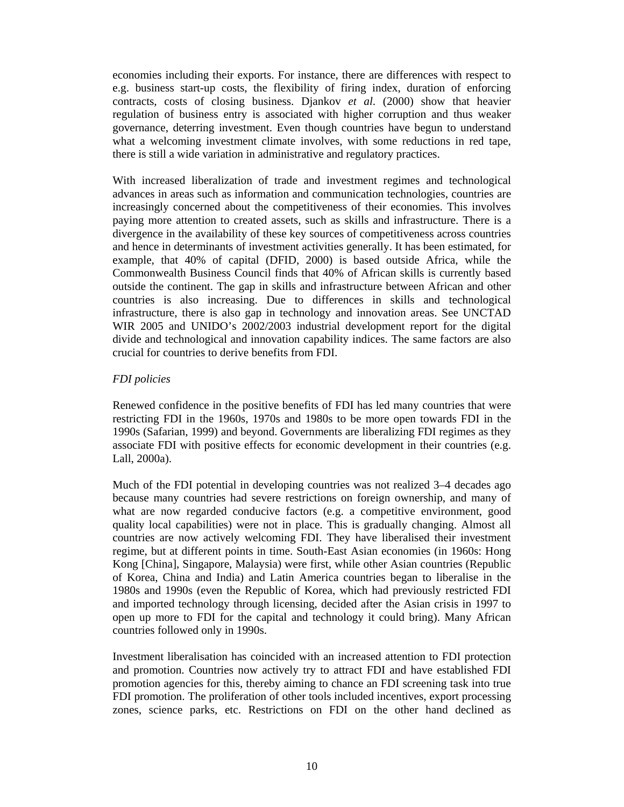economies including their exports. For instance, there are differences with respect to e.g. business start-up costs, the flexibility of firing index, duration of enforcing contracts, costs of closing business. Djankov *et al*. (2000) show that heavier regulation of business entry is associated with higher corruption and thus weaker governance, deterring investment. Even though countries have begun to understand what a welcoming investment climate involves, with some reductions in red tape, there is still a wide variation in administrative and regulatory practices.

With increased liberalization of trade and investment regimes and technological advances in areas such as information and communication technologies, countries are increasingly concerned about the competitiveness of their economies. This involves paying more attention to created assets, such as skills and infrastructure. There is a divergence in the availability of these key sources of competitiveness across countries and hence in determinants of investment activities generally. It has been estimated, for example, that 40% of capital (DFID, 2000) is based outside Africa, while the Commonwealth Business Council finds that 40% of African skills is currently based outside the continent. The gap in skills and infrastructure between African and other countries is also increasing. Due to differences in skills and technological infrastructure, there is also gap in technology and innovation areas. See UNCTAD WIR 2005 and UNIDO's 2002/2003 industrial development report for the digital divide and technological and innovation capability indices. The same factors are also crucial for countries to derive benefits from FDI.

#### *FDI policies*

Renewed confidence in the positive benefits of FDI has led many countries that were restricting FDI in the 1960s, 1970s and 1980s to be more open towards FDI in the 1990s (Safarian, 1999) and beyond. Governments are liberalizing FDI regimes as they associate FDI with positive effects for economic development in their countries (e.g. Lall, 2000a).

Much of the FDI potential in developing countries was not realized 3–4 decades ago because many countries had severe restrictions on foreign ownership, and many of what are now regarded conducive factors (e.g. a competitive environment, good quality local capabilities) were not in place. This is gradually changing. Almost all countries are now actively welcoming FDI. They have liberalised their investment regime, but at different points in time. South-East Asian economies (in 1960s: Hong Kong [China], Singapore, Malaysia) were first, while other Asian countries (Republic of Korea, China and India) and Latin America countries began to liberalise in the 1980s and 1990s (even the Republic of Korea, which had previously restricted FDI and imported technology through licensing, decided after the Asian crisis in 1997 to open up more to FDI for the capital and technology it could bring). Many African countries followed only in 1990s.

Investment liberalisation has coincided with an increased attention to FDI protection and promotion. Countries now actively try to attract FDI and have established FDI promotion agencies for this, thereby aiming to chance an FDI screening task into true FDI promotion. The proliferation of other tools included incentives, export processing zones, science parks, etc. Restrictions on FDI on the other hand declined as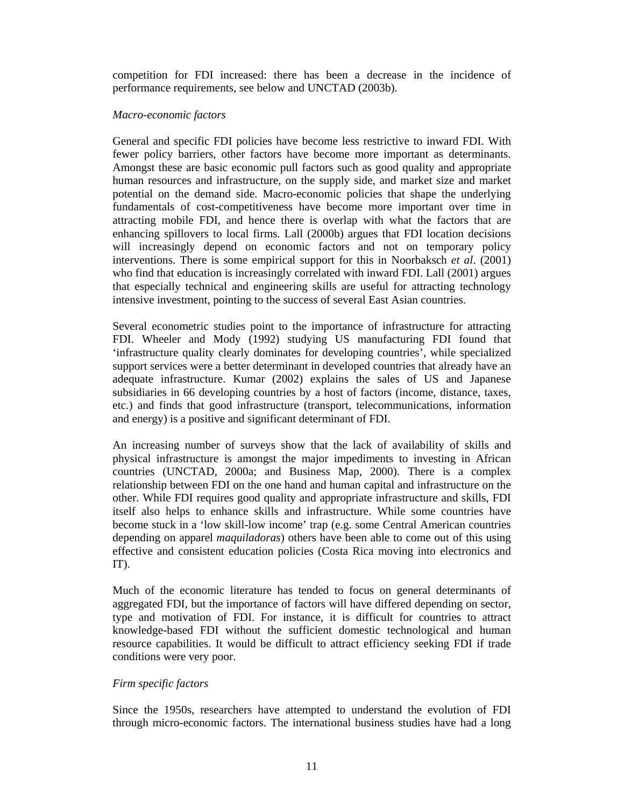competition for FDI increased: there has been a decrease in the incidence of performance requirements, see below and UNCTAD (2003b).

#### *Macro-economic factors*

General and specific FDI policies have become less restrictive to inward FDI. With fewer policy barriers, other factors have become more important as determinants. Amongst these are basic economic pull factors such as good quality and appropriate human resources and infrastructure, on the supply side, and market size and market potential on the demand side. Macro-economic policies that shape the underlying fundamentals of cost-competitiveness have become more important over time in attracting mobile FDI, and hence there is overlap with what the factors that are enhancing spillovers to local firms. Lall (2000b) argues that FDI location decisions will increasingly depend on economic factors and not on temporary policy interventions. There is some empirical support for this in Noorbaksch *et al*. (2001) who find that education is increasingly correlated with inward FDI. Lall (2001) argues that especially technical and engineering skills are useful for attracting technology intensive investment, pointing to the success of several East Asian countries.

Several econometric studies point to the importance of infrastructure for attracting FDI. Wheeler and Mody (1992) studying US manufacturing FDI found that 'infrastructure quality clearly dominates for developing countries', while specialized support services were a better determinant in developed countries that already have an adequate infrastructure. Kumar (2002) explains the sales of US and Japanese subsidiaries in 66 developing countries by a host of factors (income, distance, taxes, etc.) and finds that good infrastructure (transport, telecommunications, information and energy) is a positive and significant determinant of FDI.

An increasing number of surveys show that the lack of availability of skills and physical infrastructure is amongst the major impediments to investing in African countries (UNCTAD, 2000a; and Business Map, 2000). There is a complex relationship between FDI on the one hand and human capital and infrastructure on the other. While FDI requires good quality and appropriate infrastructure and skills, FDI itself also helps to enhance skills and infrastructure. While some countries have become stuck in a 'low skill-low income' trap (e.g. some Central American countries depending on apparel *maquiladoras*) others have been able to come out of this using effective and consistent education policies (Costa Rica moving into electronics and IT).

Much of the economic literature has tended to focus on general determinants of aggregated FDI, but the importance of factors will have differed depending on sector, type and motivation of FDI. For instance, it is difficult for countries to attract knowledge-based FDI without the sufficient domestic technological and human resource capabilities. It would be difficult to attract efficiency seeking FDI if trade conditions were very poor.

#### *Firm specific factors*

Since the 1950s, researchers have attempted to understand the evolution of FDI through micro-economic factors. The international business studies have had a long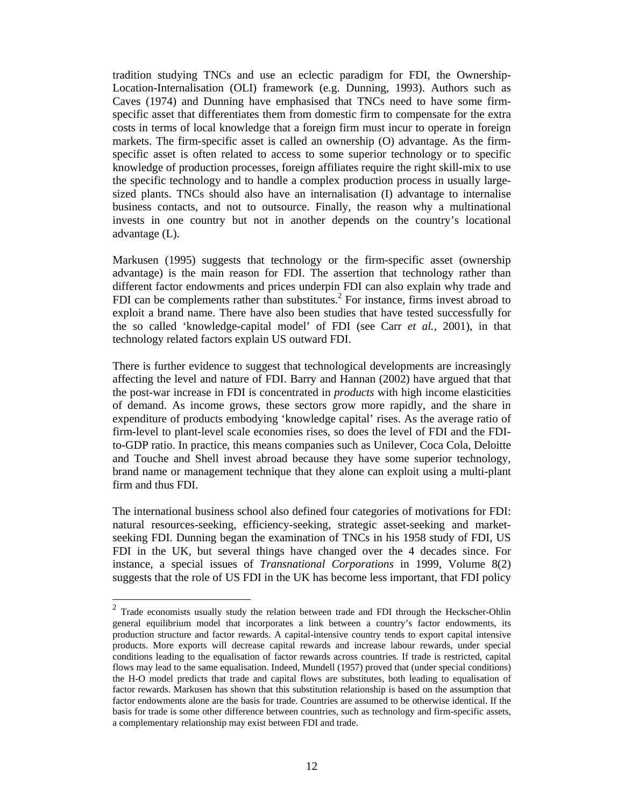tradition studying TNCs and use an eclectic paradigm for FDI, the Ownership-Location-Internalisation (OLI) framework (e.g. Dunning, 1993). Authors such as Caves (1974) and Dunning have emphasised that TNCs need to have some firmspecific asset that differentiates them from domestic firm to compensate for the extra costs in terms of local knowledge that a foreign firm must incur to operate in foreign markets. The firm-specific asset is called an ownership (O) advantage. As the firmspecific asset is often related to access to some superior technology or to specific knowledge of production processes, foreign affiliates require the right skill-mix to use the specific technology and to handle a complex production process in usually largesized plants. TNCs should also have an internalisation (I) advantage to internalise business contacts, and not to outsource. Finally, the reason why a multinational invests in one country but not in another depends on the country's locational advantage (L).

Markusen (1995) suggests that technology or the firm-specific asset (ownership advantage) is the main reason for FDI. The assertion that technology rather than different factor endowments and prices underpin FDI can also explain why trade and FDI can be complements rather than substitutes. $^{2}$  For instance, firms invest abroad to exploit a brand name. There have also been studies that have tested successfully for the so called 'knowledge-capital model' of FDI (see Carr *et al.,* 2001), in that technology related factors explain US outward FDI.

There is further evidence to suggest that technological developments are increasingly affecting the level and nature of FDI. Barry and Hannan (2002) have argued that that the post-war increase in FDI is concentrated in *products* with high income elasticities of demand. As income grows, these sectors grow more rapidly, and the share in expenditure of products embodying 'knowledge capital' rises. As the average ratio of firm-level to plant-level scale economies rises, so does the level of FDI and the FDIto-GDP ratio. In practice, this means companies such as Unilever, Coca Cola, Deloitte and Touche and Shell invest abroad because they have some superior technology, brand name or management technique that they alone can exploit using a multi-plant firm and thus FDI.

The international business school also defined four categories of motivations for FDI: natural resources-seeking, efficiency-seeking, strategic asset-seeking and marketseeking FDI. Dunning began the examination of TNCs in his 1958 study of FDI, US FDI in the UK, but several things have changed over the 4 decades since. For instance, a special issues of *Transnational Corporations* in 1999, Volume 8(2) suggests that the role of US FDI in the UK has become less important, that FDI policy

 $\overline{a}$ 

 $2$  Trade economists usually study the relation between trade and FDI through the Heckscher-Ohlin general equilibrium model that incorporates a link between a country's factor endowments, its production structure and factor rewards. A capital-intensive country tends to export capital intensive products. More exports will decrease capital rewards and increase labour rewards, under special conditions leading to the equalisation of factor rewards across countries. If trade is restricted, capital flows may lead to the same equalisation. Indeed, Mundell (1957) proved that (under special conditions) the H-O model predicts that trade and capital flows are substitutes, both leading to equalisation of factor rewards. Markusen has shown that this substitution relationship is based on the assumption that factor endowments alone are the basis for trade. Countries are assumed to be otherwise identical. If the basis for trade is some other difference between countries, such as technology and firm-specific assets, a complementary relationship may exist between FDI and trade.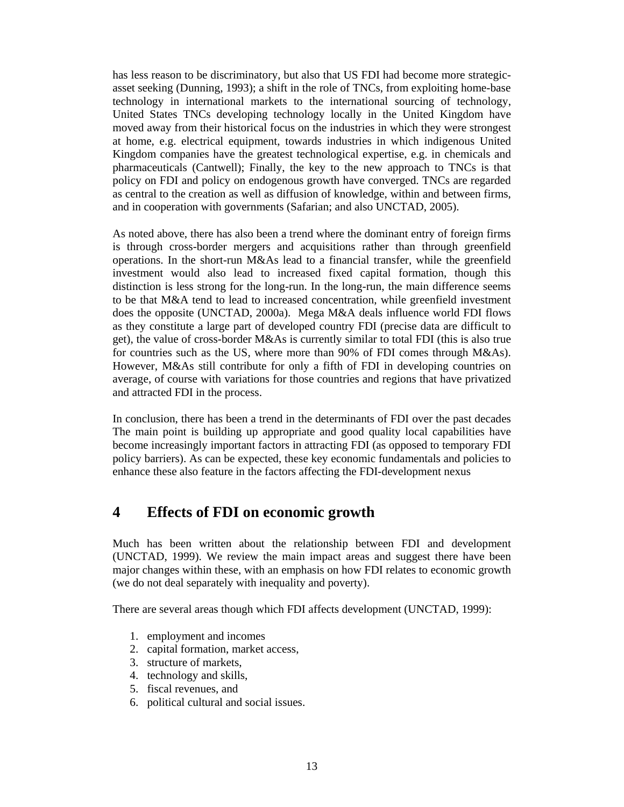has less reason to be discriminatory, but also that US FDI had become more strategicasset seeking (Dunning, 1993); a shift in the role of TNCs, from exploiting home-base technology in international markets to the international sourcing of technology, United States TNCs developing technology locally in the United Kingdom have moved away from their historical focus on the industries in which they were strongest at home, e.g. electrical equipment, towards industries in which indigenous United Kingdom companies have the greatest technological expertise, e.g. in chemicals and pharmaceuticals (Cantwell); Finally, the key to the new approach to TNCs is that policy on FDI and policy on endogenous growth have converged. TNCs are regarded as central to the creation as well as diffusion of knowledge, within and between firms, and in cooperation with governments (Safarian; and also UNCTAD, 2005).

As noted above, there has also been a trend where the dominant entry of foreign firms is through cross-border mergers and acquisitions rather than through greenfield operations. In the short-run M&As lead to a financial transfer, while the greenfield investment would also lead to increased fixed capital formation, though this distinction is less strong for the long-run. In the long-run, the main difference seems to be that M&A tend to lead to increased concentration, while greenfield investment does the opposite (UNCTAD, 2000a). Mega M&A deals influence world FDI flows as they constitute a large part of developed country FDI (precise data are difficult to get), the value of cross-border M&As is currently similar to total FDI (this is also true for countries such as the US, where more than 90% of FDI comes through M&As). However, M&As still contribute for only a fifth of FDI in developing countries on average, of course with variations for those countries and regions that have privatized and attracted FDI in the process.

In conclusion, there has been a trend in the determinants of FDI over the past decades The main point is building up appropriate and good quality local capabilities have become increasingly important factors in attracting FDI (as opposed to temporary FDI policy barriers). As can be expected, these key economic fundamentals and policies to enhance these also feature in the factors affecting the FDI-development nexus

## **4 Effects of FDI on economic growth**

Much has been written about the relationship between FDI and development (UNCTAD, 1999). We review the main impact areas and suggest there have been major changes within these, with an emphasis on how FDI relates to economic growth (we do not deal separately with inequality and poverty).

There are several areas though which FDI affects development (UNCTAD, 1999):

- 1. employment and incomes
- 2. capital formation, market access,
- 3. structure of markets,
- 4. technology and skills,
- 5. fiscal revenues, and
- 6. political cultural and social issues.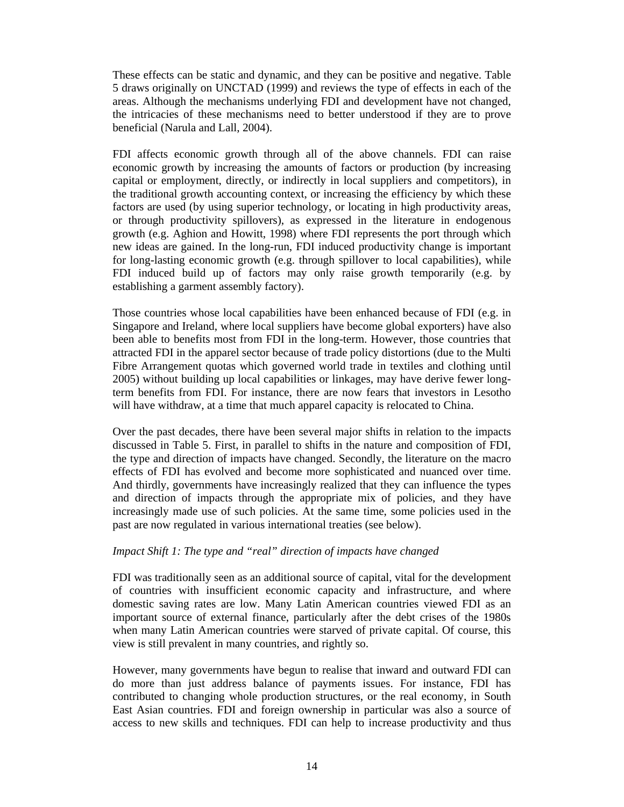These effects can be static and dynamic, and they can be positive and negative. Table 5 draws originally on UNCTAD (1999) and reviews the type of effects in each of the areas. Although the mechanisms underlying FDI and development have not changed, the intricacies of these mechanisms need to better understood if they are to prove beneficial (Narula and Lall, 2004).

FDI affects economic growth through all of the above channels. FDI can raise economic growth by increasing the amounts of factors or production (by increasing capital or employment, directly, or indirectly in local suppliers and competitors), in the traditional growth accounting context, or increasing the efficiency by which these factors are used (by using superior technology, or locating in high productivity areas, or through productivity spillovers), as expressed in the literature in endogenous growth (e.g. Aghion and Howitt, 1998) where FDI represents the port through which new ideas are gained. In the long-run, FDI induced productivity change is important for long-lasting economic growth (e.g. through spillover to local capabilities), while FDI induced build up of factors may only raise growth temporarily (e.g. by establishing a garment assembly factory).

Those countries whose local capabilities have been enhanced because of FDI (e.g. in Singapore and Ireland, where local suppliers have become global exporters) have also been able to benefits most from FDI in the long-term. However, those countries that attracted FDI in the apparel sector because of trade policy distortions (due to the Multi Fibre Arrangement quotas which governed world trade in textiles and clothing until 2005) without building up local capabilities or linkages, may have derive fewer longterm benefits from FDI. For instance, there are now fears that investors in Lesotho will have withdraw, at a time that much apparel capacity is relocated to China.

Over the past decades, there have been several major shifts in relation to the impacts discussed in Table 5. First, in parallel to shifts in the nature and composition of FDI, the type and direction of impacts have changed. Secondly, the literature on the macro effects of FDI has evolved and become more sophisticated and nuanced over time. And thirdly, governments have increasingly realized that they can influence the types and direction of impacts through the appropriate mix of policies, and they have increasingly made use of such policies. At the same time, some policies used in the past are now regulated in various international treaties (see below).

#### *Impact Shift 1: The type and "real" direction of impacts have changed*

FDI was traditionally seen as an additional source of capital, vital for the development of countries with insufficient economic capacity and infrastructure, and where domestic saving rates are low. Many Latin American countries viewed FDI as an important source of external finance, particularly after the debt crises of the 1980s when many Latin American countries were starved of private capital. Of course, this view is still prevalent in many countries, and rightly so.

However, many governments have begun to realise that inward and outward FDI can do more than just address balance of payments issues. For instance, FDI has contributed to changing whole production structures, or the real economy, in South East Asian countries. FDI and foreign ownership in particular was also a source of access to new skills and techniques. FDI can help to increase productivity and thus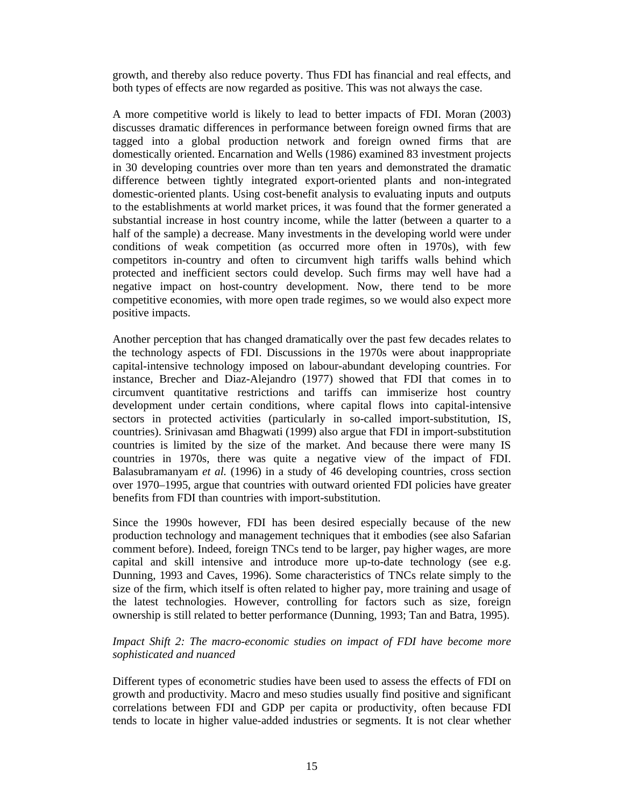growth, and thereby also reduce poverty. Thus FDI has financial and real effects, and both types of effects are now regarded as positive. This was not always the case.

A more competitive world is likely to lead to better impacts of FDI. Moran (2003) discusses dramatic differences in performance between foreign owned firms that are tagged into a global production network and foreign owned firms that are domestically oriented. Encarnation and Wells (1986) examined 83 investment projects in 30 developing countries over more than ten years and demonstrated the dramatic difference between tightly integrated export-oriented plants and non-integrated domestic-oriented plants. Using cost-benefit analysis to evaluating inputs and outputs to the establishments at world market prices, it was found that the former generated a substantial increase in host country income, while the latter (between a quarter to a half of the sample) a decrease. Many investments in the developing world were under conditions of weak competition (as occurred more often in 1970s), with few competitors in-country and often to circumvent high tariffs walls behind which protected and inefficient sectors could develop. Such firms may well have had a negative impact on host-country development. Now, there tend to be more competitive economies, with more open trade regimes, so we would also expect more positive impacts.

Another perception that has changed dramatically over the past few decades relates to the technology aspects of FDI. Discussions in the 1970s were about inappropriate capital-intensive technology imposed on labour-abundant developing countries. For instance, Brecher and Diaz-Alejandro (1977) showed that FDI that comes in to circumvent quantitative restrictions and tariffs can immiserize host country development under certain conditions, where capital flows into capital-intensive sectors in protected activities (particularly in so-called import-substitution, IS, countries). Srinivasan amd Bhagwati (1999) also argue that FDI in import-substitution countries is limited by the size of the market. And because there were many IS countries in 1970s, there was quite a negative view of the impact of FDI. Balasubramanyam *et al.* (1996) in a study of 46 developing countries, cross section over 1970–1995, argue that countries with outward oriented FDI policies have greater benefits from FDI than countries with import-substitution.

Since the 1990s however, FDI has been desired especially because of the new production technology and management techniques that it embodies (see also Safarian comment before). Indeed, foreign TNCs tend to be larger, pay higher wages, are more capital and skill intensive and introduce more up-to-date technology (see e.g. Dunning, 1993 and Caves, 1996). Some characteristics of TNCs relate simply to the size of the firm, which itself is often related to higher pay, more training and usage of the latest technologies. However, controlling for factors such as size, foreign ownership is still related to better performance (Dunning, 1993; Tan and Batra, 1995).

#### *Impact Shift 2: The macro-economic studies on impact of FDI have become more sophisticated and nuanced*

Different types of econometric studies have been used to assess the effects of FDI on growth and productivity. Macro and meso studies usually find positive and significant correlations between FDI and GDP per capita or productivity, often because FDI tends to locate in higher value-added industries or segments. It is not clear whether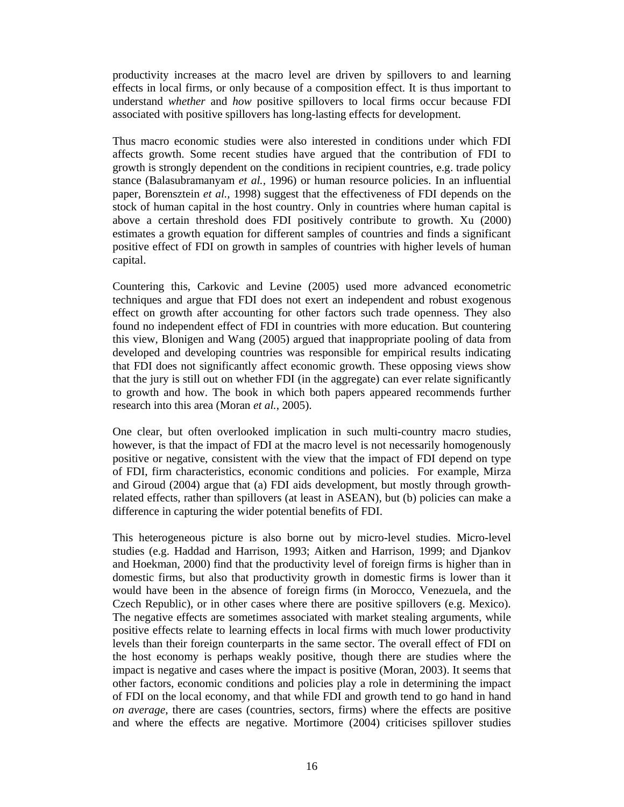productivity increases at the macro level are driven by spillovers to and learning effects in local firms, or only because of a composition effect. It is thus important to understand *whether* and *how* positive spillovers to local firms occur because FDI associated with positive spillovers has long-lasting effects for development.

Thus macro economic studies were also interested in conditions under which FDI affects growth. Some recent studies have argued that the contribution of FDI to growth is strongly dependent on the conditions in recipient countries, e.g. trade policy stance (Balasubramanyam *et al.,* 1996) or human resource policies. In an influential paper, Borensztein *et al.,* 1998) suggest that the effectiveness of FDI depends on the stock of human capital in the host country. Only in countries where human capital is above a certain threshold does FDI positively contribute to growth. Xu (2000) estimates a growth equation for different samples of countries and finds a significant positive effect of FDI on growth in samples of countries with higher levels of human capital.

Countering this, Carkovic and Levine (2005) used more advanced econometric techniques and argue that FDI does not exert an independent and robust exogenous effect on growth after accounting for other factors such trade openness. They also found no independent effect of FDI in countries with more education. But countering this view, Blonigen and Wang (2005) argued that inappropriate pooling of data from developed and developing countries was responsible for empirical results indicating that FDI does not significantly affect economic growth. These opposing views show that the jury is still out on whether FDI (in the aggregate) can ever relate significantly to growth and how. The book in which both papers appeared recommends further research into this area (Moran *et al.*, 2005).

One clear, but often overlooked implication in such multi-country macro studies, however, is that the impact of FDI at the macro level is not necessarily homogenously positive or negative, consistent with the view that the impact of FDI depend on type of FDI, firm characteristics, economic conditions and policies. For example, Mirza and Giroud (2004) argue that (a) FDI aids development, but mostly through growthrelated effects, rather than spillovers (at least in ASEAN), but (b) policies can make a difference in capturing the wider potential benefits of FDI.

This heterogeneous picture is also borne out by micro-level studies. Micro-level studies (e.g. Haddad and Harrison, 1993; Aitken and Harrison, 1999; and Djankov and Hoekman, 2000) find that the productivity level of foreign firms is higher than in domestic firms, but also that productivity growth in domestic firms is lower than it would have been in the absence of foreign firms (in Morocco, Venezuela, and the Czech Republic), or in other cases where there are positive spillovers (e.g. Mexico). The negative effects are sometimes associated with market stealing arguments, while positive effects relate to learning effects in local firms with much lower productivity levels than their foreign counterparts in the same sector. The overall effect of FDI on the host economy is perhaps weakly positive, though there are studies where the impact is negative and cases where the impact is positive (Moran, 2003). It seems that other factors, economic conditions and policies play a role in determining the impact of FDI on the local economy, and that while FDI and growth tend to go hand in hand *on average*, there are cases (countries, sectors, firms) where the effects are positive and where the effects are negative. Mortimore (2004) criticises spillover studies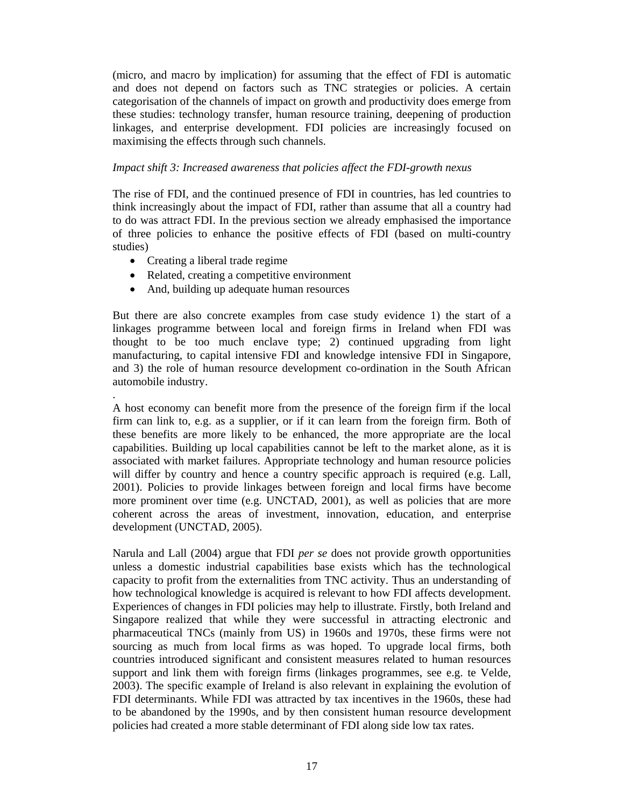(micro, and macro by implication) for assuming that the effect of FDI is automatic and does not depend on factors such as TNC strategies or policies. A certain categorisation of the channels of impact on growth and productivity does emerge from these studies: technology transfer, human resource training, deepening of production linkages, and enterprise development. FDI policies are increasingly focused on maximising the effects through such channels.

#### *Impact shift 3: Increased awareness that policies affect the FDI-growth nexus*

The rise of FDI, and the continued presence of FDI in countries, has led countries to think increasingly about the impact of FDI, rather than assume that all a country had to do was attract FDI. In the previous section we already emphasised the importance of three policies to enhance the positive effects of FDI (based on multi-country studies)

• Creating a liberal trade regime

.

- Related, creating a competitive environment
- And, building up adequate human resources

But there are also concrete examples from case study evidence 1) the start of a linkages programme between local and foreign firms in Ireland when FDI was thought to be too much enclave type; 2) continued upgrading from light manufacturing, to capital intensive FDI and knowledge intensive FDI in Singapore, and 3) the role of human resource development co-ordination in the South African automobile industry.

A host economy can benefit more from the presence of the foreign firm if the local firm can link to, e.g. as a supplier, or if it can learn from the foreign firm. Both of these benefits are more likely to be enhanced, the more appropriate are the local capabilities. Building up local capabilities cannot be left to the market alone, as it is associated with market failures. Appropriate technology and human resource policies will differ by country and hence a country specific approach is required (e.g. Lall, 2001). Policies to provide linkages between foreign and local firms have become more prominent over time (e.g. UNCTAD, 2001), as well as policies that are more coherent across the areas of investment, innovation, education, and enterprise development (UNCTAD, 2005).

Narula and Lall (2004) argue that FDI *per se* does not provide growth opportunities unless a domestic industrial capabilities base exists which has the technological capacity to profit from the externalities from TNC activity. Thus an understanding of how technological knowledge is acquired is relevant to how FDI affects development. Experiences of changes in FDI policies may help to illustrate. Firstly, both Ireland and Singapore realized that while they were successful in attracting electronic and pharmaceutical TNCs (mainly from US) in 1960s and 1970s, these firms were not sourcing as much from local firms as was hoped. To upgrade local firms, both countries introduced significant and consistent measures related to human resources support and link them with foreign firms (linkages programmes, see e.g. te Velde, 2003). The specific example of Ireland is also relevant in explaining the evolution of FDI determinants. While FDI was attracted by tax incentives in the 1960s, these had to be abandoned by the 1990s, and by then consistent human resource development policies had created a more stable determinant of FDI along side low tax rates.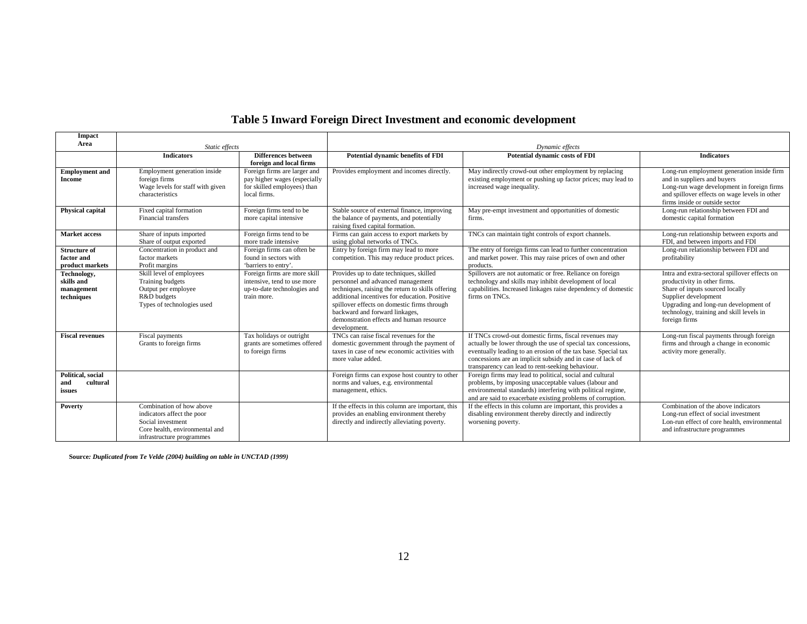## **Table 5 Inward Foreign Direct Investment and economic development**

| Impact                                                |                                                                                                                                            |                                                                                                             |                                                                                                                                                                                                                                                                                                                                 |                                                                                                                                                                                                                                                                                                           |                                                                                                                                                                                                                                                |  |  |
|-------------------------------------------------------|--------------------------------------------------------------------------------------------------------------------------------------------|-------------------------------------------------------------------------------------------------------------|---------------------------------------------------------------------------------------------------------------------------------------------------------------------------------------------------------------------------------------------------------------------------------------------------------------------------------|-----------------------------------------------------------------------------------------------------------------------------------------------------------------------------------------------------------------------------------------------------------------------------------------------------------|------------------------------------------------------------------------------------------------------------------------------------------------------------------------------------------------------------------------------------------------|--|--|
| Area                                                  | Static effects                                                                                                                             |                                                                                                             | Dynamic effects                                                                                                                                                                                                                                                                                                                 |                                                                                                                                                                                                                                                                                                           |                                                                                                                                                                                                                                                |  |  |
|                                                       | <b>Indicators</b>                                                                                                                          | <b>Differences</b> between<br>foreign and local firms                                                       | <b>Potential dynamic benefits of FDI</b>                                                                                                                                                                                                                                                                                        | Potential dynamic costs of FDI                                                                                                                                                                                                                                                                            | <b>Indicators</b>                                                                                                                                                                                                                              |  |  |
| <b>Employment</b> and<br>Income                       | Employment generation inside<br>foreign firms<br>Wage levels for staff with given<br>characteristics                                       | Foreign firms are larger and<br>pay higher wages (especially<br>for skilled employees) than<br>local firms. | Provides employment and incomes directly.                                                                                                                                                                                                                                                                                       | May indirectly crowd-out other employment by replacing<br>existing employment or pushing up factor prices; may lead to<br>increased wage inequality.                                                                                                                                                      | Long-run employment generation inside firm<br>and in suppliers and buyers<br>Long-run wage development in foreign firms<br>and spillover effects on wage levels in other<br>firms inside or outside sector                                     |  |  |
| <b>Physical capital</b>                               | Fixed capital formation<br>Financial transfers                                                                                             | Foreign firms tend to be<br>more capital intensive                                                          | Stable source of external finance, improving<br>the balance of payments, and potentially<br>raising fixed capital formation.                                                                                                                                                                                                    | May pre-empt investment and opportunities of domestic<br>firms.                                                                                                                                                                                                                                           | Long-run relationship between FDI and<br>domestic capital formation                                                                                                                                                                            |  |  |
| Market access                                         | Share of inputs imported<br>Share of output exported                                                                                       | Foreign firms tend to be<br>more trade intensive                                                            | Firms can gain access to export markets by<br>using global networks of TNCs.                                                                                                                                                                                                                                                    | TNCs can maintain tight controls of export channels.                                                                                                                                                                                                                                                      | Long-run relationship between exports and<br>FDI, and between imports and FDI                                                                                                                                                                  |  |  |
| <b>Structure of</b><br>factor and<br>product markets  | Concentration in product and<br>factor markets<br>Profit margins                                                                           | Foreign firms can often be<br>found in sectors with<br>'barriers to entry'.                                 | Entry by foreign firm may lead to more<br>competition. This may reduce product prices.                                                                                                                                                                                                                                          | The entry of foreign firms can lead to further concentration<br>and market power. This may raise prices of own and other<br>products.                                                                                                                                                                     | Long-run relationship between FDI and<br>profitability                                                                                                                                                                                         |  |  |
| Technology,<br>skills and<br>management<br>techniques | Skill level of employees<br>Training budgets<br>Output per employee<br>R&D budgets<br>Types of technologies used                           | Foreign firms are more skill<br>intensive, tend to use more<br>up-to-date technologies and<br>train more.   | Provides up to date techniques, skilled<br>personnel and advanced management<br>techniques, raising the return to skills offering<br>additional incentives for education. Positive<br>spillover effects on domestic firms through<br>backward and forward linkages,<br>demonstration effects and human resource<br>development. | Spillovers are not automatic or free. Reliance on foreign<br>technology and skills may inhibit development of local<br>capabilities. Increased linkages raise dependency of domestic<br>firms on TNCs.                                                                                                    | Intra and extra-sectoral spillover effects on<br>productivity in other firms.<br>Share of inputs sourced locally<br>Supplier development<br>Upgrading and long-run development of<br>technology, training and skill levels in<br>foreign firms |  |  |
| <b>Fiscal revenues</b>                                | Fiscal payments<br>Grants to foreign firms                                                                                                 | Tax holidays or outright<br>grants are sometimes offered<br>to foreign firms                                | TNCs can raise fiscal revenues for the<br>domestic government through the payment of<br>taxes in case of new economic activities with<br>more value added.                                                                                                                                                                      | If TNCs crowd-out domestic firms, fiscal revenues may<br>actually be lower through the use of special tax concessions,<br>eventually leading to an erosion of the tax base. Special tax<br>concessions are an implicit subsidy and in case of lack of<br>transparency can lead to rent-seeking behaviour. | Long-run fiscal payments through foreign<br>firms and through a change in economic<br>activity more generally.                                                                                                                                 |  |  |
| Political, social<br>cultural<br>and<br>issues        |                                                                                                                                            |                                                                                                             | Foreign firms can expose host country to other<br>norms and values, e.g. environmental<br>management, ethics.                                                                                                                                                                                                                   | Foreign firms may lead to political, social and cultural<br>problems, by imposing unacceptable values (labour and<br>environmental standards) interfering with political regime,<br>and are said to exacerbate existing problems of corruption.                                                           |                                                                                                                                                                                                                                                |  |  |
| Poverty                                               | Combination of how above<br>indicators affect the poor<br>Social investment<br>Core health, environmental and<br>infrastructure programmes |                                                                                                             | If the effects in this column are important, this<br>provides an enabling environment thereby<br>directly and indirectly alleviating poverty.                                                                                                                                                                                   | If the effects in this column are important, this provides a<br>disabling environment thereby directly and indirectly<br>worsening poverty.                                                                                                                                                               | Combination of the above indicators<br>Long-run effect of social investment<br>Lon-run effect of core health, environmental<br>and infrastructure programmes                                                                                   |  |  |

**Source***: Duplicated from Te Velde (2004) building on table in UNCTAD (1999)*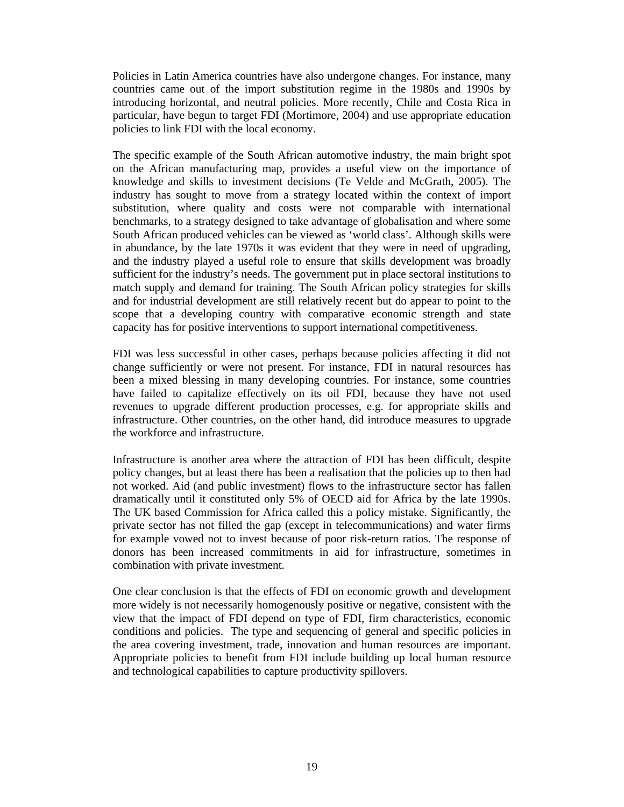Policies in Latin America countries have also undergone changes. For instance, many countries came out of the import substitution regime in the 1980s and 1990s by introducing horizontal, and neutral policies. More recently, Chile and Costa Rica in particular, have begun to target FDI (Mortimore, 2004) and use appropriate education policies to link FDI with the local economy.

The specific example of the South African automotive industry, the main bright spot on the African manufacturing map, provides a useful view on the importance of knowledge and skills to investment decisions (Te Velde and McGrath, 2005). The industry has sought to move from a strategy located within the context of import substitution, where quality and costs were not comparable with international benchmarks, to a strategy designed to take advantage of globalisation and where some South African produced vehicles can be viewed as 'world class'. Although skills were in abundance, by the late 1970s it was evident that they were in need of upgrading, and the industry played a useful role to ensure that skills development was broadly sufficient for the industry's needs. The government put in place sectoral institutions to match supply and demand for training. The South African policy strategies for skills and for industrial development are still relatively recent but do appear to point to the scope that a developing country with comparative economic strength and state capacity has for positive interventions to support international competitiveness.

FDI was less successful in other cases, perhaps because policies affecting it did not change sufficiently or were not present. For instance, FDI in natural resources has been a mixed blessing in many developing countries. For instance, some countries have failed to capitalize effectively on its oil FDI, because they have not used revenues to upgrade different production processes, e.g. for appropriate skills and infrastructure. Other countries, on the other hand, did introduce measures to upgrade the workforce and infrastructure.

Infrastructure is another area where the attraction of FDI has been difficult, despite policy changes, but at least there has been a realisation that the policies up to then had not worked. Aid (and public investment) flows to the infrastructure sector has fallen dramatically until it constituted only 5% of OECD aid for Africa by the late 1990s. The UK based Commission for Africa called this a policy mistake. Significantly, the private sector has not filled the gap (except in telecommunications) and water firms for example vowed not to invest because of poor risk-return ratios. The response of donors has been increased commitments in aid for infrastructure, sometimes in combination with private investment.

One clear conclusion is that the effects of FDI on economic growth and development more widely is not necessarily homogenously positive or negative, consistent with the view that the impact of FDI depend on type of FDI, firm characteristics, economic conditions and policies. The type and sequencing of general and specific policies in the area covering investment, trade, innovation and human resources are important. Appropriate policies to benefit from FDI include building up local human resource and technological capabilities to capture productivity spillovers.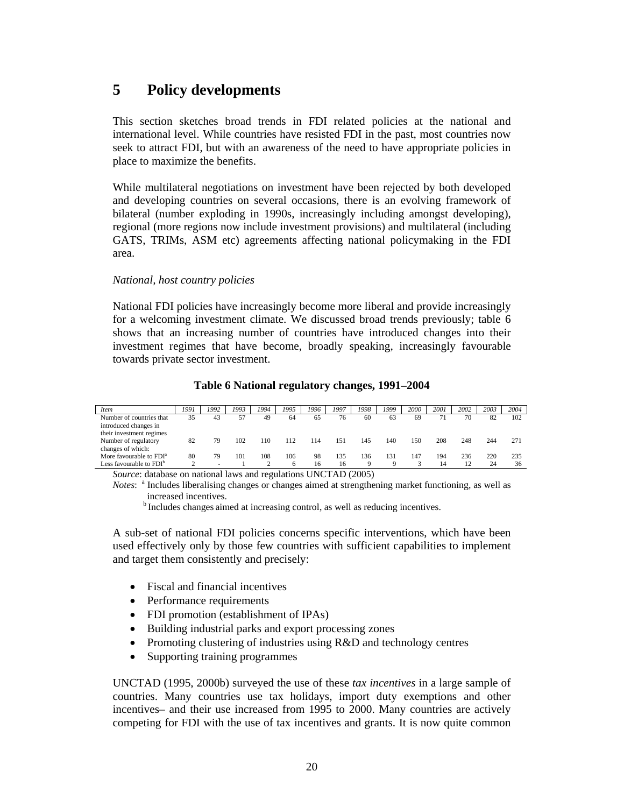## **5 Policy developments**

This section sketches broad trends in FDI related policies at the national and international level. While countries have resisted FDI in the past, most countries now seek to attract FDI, but with an awareness of the need to have appropriate policies in place to maximize the benefits.

While multilateral negotiations on investment have been rejected by both developed and developing countries on several occasions, there is an evolving framework of bilateral (number exploding in 1990s, increasingly including amongst developing), regional (more regions now include investment provisions) and multilateral (including GATS, TRIMs, ASM etc) agreements affecting national policymaking in the FDI area.

#### *National, host country policies*

National FDI policies have increasingly become more liberal and provide increasingly for a welcoming investment climate. We discussed broad trends previously; table 6 shows that an increasing number of countries have introduced changes into their investment regimes that have become, broadly speaking, increasingly favourable towards private sector investment.

| Item                                              | 1991 | 1992 | 1993 | 1994 | 1995 | 1996 | 1997 | 1998 | 1999 | 2000 | 2001 | 2002 | 2003 | 2004 |
|---------------------------------------------------|------|------|------|------|------|------|------|------|------|------|------|------|------|------|
| Number of countries that                          | 35   | 43   | 57   | 49   | 64   | 65   | 76   | 60   | 63   | 69   | 71   | 70   | 82   | 102  |
| introduced changes in<br>their investment regimes |      |      |      |      |      |      |      |      |      |      |      |      |      |      |
| Number of regulatory                              | 82   | 79   | 102  | 110  | 112  | 114  | 151  | 145  | 140  | 150  | 208  | 248  | 244  | 271  |
| changes of which:                                 |      |      |      |      |      |      |      |      |      |      |      |      |      |      |
| More favourable to FDI <sup>a</sup>               | 80   | 79   | 101  | 108  | 106  | 98   | 135  | 136  | 131  | 147  | 194  | 236  | 220  | 235  |
| Less favourable to $FDI^b$                        |      |      |      |      | h    | 16   | 16   |      |      |      | 14   | 12   | 24   | 36   |

#### **Table 6 National regulatory changes, 1991–2004**

*Source*: database on national laws and regulations UNCTAD (2005)

Notes: <sup>a</sup> Includes liberalising changes or changes aimed at strengthening market functioning, as well as increased incentives.

<sup>b</sup> Includes changes aimed at increasing control, as well as reducing incentives.

A sub-set of national FDI policies concerns specific interventions, which have been used effectively only by those few countries with sufficient capabilities to implement and target them consistently and precisely:

- Fiscal and financial incentives
- Performance requirements
- FDI promotion (establishment of IPAs)
- Building industrial parks and export processing zones
- Promoting clustering of industries using R&D and technology centres
- Supporting training programmes

UNCTAD (1995, 2000b) surveyed the use of these *tax incentives* in a large sample of countries. Many countries use tax holidays, import duty exemptions and other incentives– and their use increased from 1995 to 2000. Many countries are actively competing for FDI with the use of tax incentives and grants. It is now quite common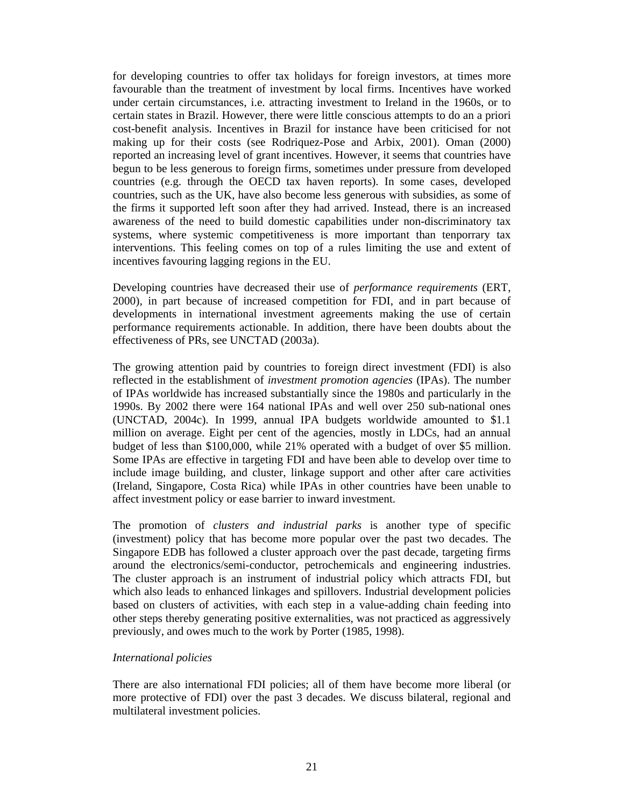for developing countries to offer tax holidays for foreign investors, at times more favourable than the treatment of investment by local firms. Incentives have worked under certain circumstances, i.e. attracting investment to Ireland in the 1960s, or to certain states in Brazil. However, there were little conscious attempts to do an a priori cost-benefit analysis. Incentives in Brazil for instance have been criticised for not making up for their costs (see Rodriquez-Pose and Arbix, 2001). Oman (2000) reported an increasing level of grant incentives. However, it seems that countries have begun to be less generous to foreign firms, sometimes under pressure from developed countries (e.g. through the OECD tax haven reports). In some cases, developed countries, such as the UK, have also become less generous with subsidies, as some of the firms it supported left soon after they had arrived. Instead, there is an increased awareness of the need to build domestic capabilities under non-discriminatory tax systems, where systemic competitiveness is more important than tenporrary tax interventions. This feeling comes on top of a rules limiting the use and extent of incentives favouring lagging regions in the EU.

Developing countries have decreased their use of *performance requirements* (ERT, 2000), in part because of increased competition for FDI, and in part because of developments in international investment agreements making the use of certain performance requirements actionable. In addition, there have been doubts about the effectiveness of PRs, see UNCTAD (2003a).

The growing attention paid by countries to foreign direct investment (FDI) is also reflected in the establishment of *investment promotion agencies* (IPAs). The number of IPAs worldwide has increased substantially since the 1980s and particularly in the 1990s. By 2002 there were 164 national IPAs and well over 250 sub-national ones (UNCTAD, 2004c). In 1999, annual IPA budgets worldwide amounted to \$1.1 million on average. Eight per cent of the agencies, mostly in LDCs, had an annual budget of less than \$100,000, while 21% operated with a budget of over \$5 million. Some IPAs are effective in targeting FDI and have been able to develop over time to include image building, and cluster, linkage support and other after care activities (Ireland, Singapore, Costa Rica) while IPAs in other countries have been unable to affect investment policy or ease barrier to inward investment.

The promotion of *clusters and industrial parks* is another type of specific (investment) policy that has become more popular over the past two decades. The Singapore EDB has followed a cluster approach over the past decade, targeting firms around the electronics/semi-conductor, petrochemicals and engineering industries. The cluster approach is an instrument of industrial policy which attracts FDI, but which also leads to enhanced linkages and spillovers. Industrial development policies based on clusters of activities, with each step in a value-adding chain feeding into other steps thereby generating positive externalities, was not practiced as aggressively previously, and owes much to the work by Porter (1985, 1998).

#### *International policies*

There are also international FDI policies; all of them have become more liberal (or more protective of FDI) over the past 3 decades. We discuss bilateral, regional and multilateral investment policies.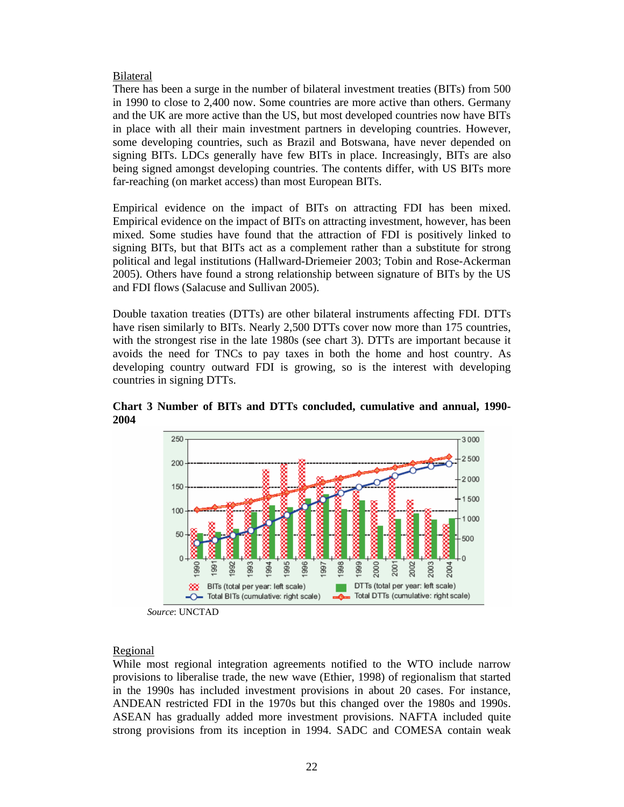#### Bilateral

There has been a surge in the number of bilateral investment treaties (BITs) from 500 in 1990 to close to 2,400 now. Some countries are more active than others. Germany and the UK are more active than the US, but most developed countries now have BITs in place with all their main investment partners in developing countries. However, some developing countries, such as Brazil and Botswana, have never depended on signing BITs. LDCs generally have few BITs in place. Increasingly, BITs are also being signed amongst developing countries. The contents differ, with US BITs more far-reaching (on market access) than most European BITs.

Empirical evidence on the impact of BITs on attracting FDI has been mixed. Empirical evidence on the impact of BITs on attracting investment, however, has been mixed. Some studies have found that the attraction of FDI is positively linked to signing BITs, but that BITs act as a complement rather than a substitute for strong political and legal institutions (Hallward-Driemeier 2003; Tobin and Rose-Ackerman 2005). Others have found a strong relationship between signature of BITs by the US and FDI flows (Salacuse and Sullivan 2005).

Double taxation treaties (DTTs) are other bilateral instruments affecting FDI. DTTs have risen similarly to BITs. Nearly 2,500 DTTs cover now more than 175 countries, with the strongest rise in the late 1980s (see chart 3). DTTs are important because it avoids the need for TNCs to pay taxes in both the home and host country. As developing country outward FDI is growing, so is the interest with developing countries in signing DTTs.



**Chart 3 Number of BITs and DTTs concluded, cumulative and annual, 1990- 2004** 

*Source*: UNCTAD

#### Regional

While most regional integration agreements notified to the WTO include narrow provisions to liberalise trade, the new wave (Ethier, 1998) of regionalism that started in the 1990s has included investment provisions in about 20 cases. For instance, ANDEAN restricted FDI in the 1970s but this changed over the 1980s and 1990s. ASEAN has gradually added more investment provisions. NAFTA included quite strong provisions from its inception in 1994. SADC and COMESA contain weak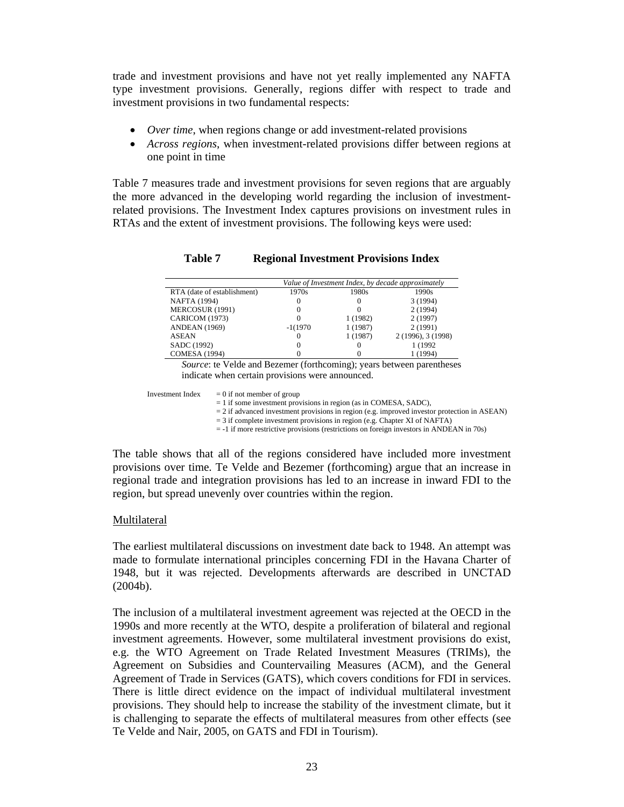trade and investment provisions and have not yet really implemented any NAFTA type investment provisions. Generally, regions differ with respect to trade and investment provisions in two fundamental respects:

- *Over time*, when regions change or add investment-related provisions
- *Across regions*, when investment-related provisions differ between regions at one point in time

Table 7 measures trade and investment provisions for seven regions that are arguably the more advanced in the developing world regarding the inclusion of investmentrelated provisions. The Investment Index captures provisions on investment rules in RTAs and the extent of investment provisions. The following keys were used:

|                             | Value of Investment Index, by decade approximately |          |                    |  |  |  |
|-----------------------------|----------------------------------------------------|----------|--------------------|--|--|--|
| RTA (date of establishment) | 1970s                                              | 1980s    | 1990s              |  |  |  |
| <b>NAFTA</b> (1994)         |                                                    | 0        | 3 (1994)           |  |  |  |
| MERCOSUR (1991)             |                                                    |          | 2(1994)            |  |  |  |
| CARICOM (1973)              |                                                    | 1 (1982) | 2(1997)            |  |  |  |
| <b>ANDEAN</b> (1969)        | $-1(1970)$                                         | 1 (1987) | 2(1991)            |  |  |  |
| <b>ASEAN</b>                |                                                    | 1 (1987) | 2 (1996), 3 (1998) |  |  |  |
| SADC (1992)                 |                                                    |          | 1 (1992)           |  |  |  |
| <b>COMESA</b> (1994)        |                                                    |          | 1 (1994)           |  |  |  |

#### **Table 7 Regional Investment Provisions Index**

*Source*: te Velde and Bezemer (forthcoming); years between parentheses indicate when certain provisions were announced.

Investment Index  $= 0$  if not member of group

 $= 1$  if some investment provisions in region (as in COMESA, SADC),

 $= 2$  if advanced investment provisions in region (e.g. improved investor protection in ASEAN)

= 3 if complete investment provisions in region (e.g. Chapter XI of NAFTA)

= -1 if more restrictive provisions (restrictions on foreign investors in ANDEAN in 70s)

The table shows that all of the regions considered have included more investment provisions over time. Te Velde and Bezemer (forthcoming) argue that an increase in regional trade and integration provisions has led to an increase in inward FDI to the region, but spread unevenly over countries within the region.

#### Multilateral

The earliest multilateral discussions on investment date back to 1948. An attempt was made to formulate international principles concerning FDI in the Havana Charter of 1948, but it was rejected. Developments afterwards are described in UNCTAD (2004b).

The inclusion of a multilateral investment agreement was rejected at the OECD in the 1990s and more recently at the WTO, despite a proliferation of bilateral and regional investment agreements. However, some multilateral investment provisions do exist, e.g. the WTO Agreement on Trade Related Investment Measures (TRIMs), the Agreement on Subsidies and Countervailing Measures (ACM), and the General Agreement of Trade in Services (GATS), which covers conditions for FDI in services. There is little direct evidence on the impact of individual multilateral investment provisions. They should help to increase the stability of the investment climate, but it is challenging to separate the effects of multilateral measures from other effects (see Te Velde and Nair, 2005, on GATS and FDI in Tourism).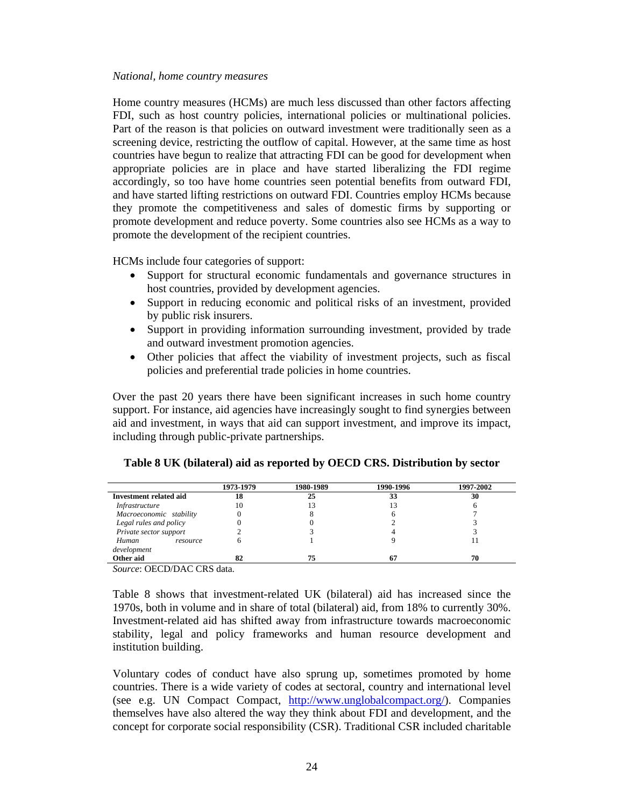#### *National, home country measures*

Home country measures (HCMs) are much less discussed than other factors affecting FDI, such as host country policies, international policies or multinational policies. Part of the reason is that policies on outward investment were traditionally seen as a screening device, restricting the outflow of capital. However, at the same time as host countries have begun to realize that attracting FDI can be good for development when appropriate policies are in place and have started liberalizing the FDI regime accordingly, so too have home countries seen potential benefits from outward FDI, and have started lifting restrictions on outward FDI. Countries employ HCMs because they promote the competitiveness and sales of domestic firms by supporting or promote development and reduce poverty. Some countries also see HCMs as a way to promote the development of the recipient countries.

HCMs include four categories of support:

- Support for structural economic fundamentals and governance structures in host countries, provided by development agencies.
- Support in reducing economic and political risks of an investment, provided by public risk insurers.
- Support in providing information surrounding investment, provided by trade and outward investment promotion agencies.
- Other policies that affect the viability of investment projects, such as fiscal policies and preferential trade policies in home countries.

Over the past 20 years there have been significant increases in such home country support. For instance, aid agencies have increasingly sought to find synergies between aid and investment, in ways that aid can support investment, and improve its impact, including through public-private partnerships.

|                         | 1973-1979 | 1980-1989 | 1990-1996 | 1997-2002 |
|-------------------------|-----------|-----------|-----------|-----------|
| Investment related aid  | 18        | 25        | 33        | 30        |
| Infrastructure          | 10        |           |           |           |
| Macroeconomic stability |           |           |           |           |
| Legal rules and policy  |           |           |           |           |
| Private sector support  |           |           |           |           |
| Human<br>resource       |           |           |           |           |
| development             |           |           |           |           |
| Other aid               | 82        | 75        | 67        | 70        |

#### **Table 8 UK (bilateral) aid as reported by OECD CRS. Distribution by sector**

*Source*: OECD/DAC CRS data.

Table 8 shows that investment-related UK (bilateral) aid has increased since the 1970s, both in volume and in share of total (bilateral) aid, from 18% to currently 30%. Investment-related aid has shifted away from infrastructure towards macroeconomic stability, legal and policy frameworks and human resource development and institution building.

Voluntary codes of conduct have also sprung up, sometimes promoted by home countries. There is a wide variety of codes at sectoral, country and international level (see e.g. UN Compact Compact, http://www.unglobalcompact.org/). Companies themselves have also altered the way they think about FDI and development, and the concept for corporate social responsibility (CSR). Traditional CSR included charitable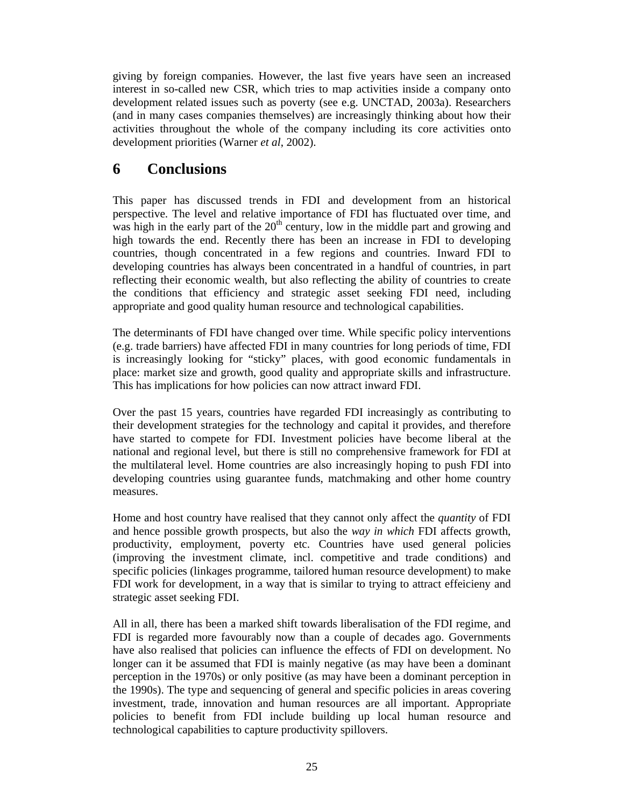giving by foreign companies. However, the last five years have seen an increased interest in so-called new CSR, which tries to map activities inside a company onto development related issues such as poverty (see e.g. UNCTAD, 2003a). Researchers (and in many cases companies themselves) are increasingly thinking about how their activities throughout the whole of the company including its core activities onto development priorities (Warner *et al*, 2002).

## **6 Conclusions**

This paper has discussed trends in FDI and development from an historical perspective. The level and relative importance of FDI has fluctuated over time, and was high in the early part of the  $20<sup>th</sup>$  century, low in the middle part and growing and high towards the end. Recently there has been an increase in FDI to developing countries, though concentrated in a few regions and countries. Inward FDI to developing countries has always been concentrated in a handful of countries, in part reflecting their economic wealth, but also reflecting the ability of countries to create the conditions that efficiency and strategic asset seeking FDI need, including appropriate and good quality human resource and technological capabilities.

The determinants of FDI have changed over time. While specific policy interventions (e.g. trade barriers) have affected FDI in many countries for long periods of time, FDI is increasingly looking for "sticky" places, with good economic fundamentals in place: market size and growth, good quality and appropriate skills and infrastructure. This has implications for how policies can now attract inward FDI.

Over the past 15 years, countries have regarded FDI increasingly as contributing to their development strategies for the technology and capital it provides, and therefore have started to compete for FDI. Investment policies have become liberal at the national and regional level, but there is still no comprehensive framework for FDI at the multilateral level. Home countries are also increasingly hoping to push FDI into developing countries using guarantee funds, matchmaking and other home country measures.

Home and host country have realised that they cannot only affect the *quantity* of FDI and hence possible growth prospects, but also the *way in which* FDI affects growth, productivity, employment, poverty etc. Countries have used general policies (improving the investment climate, incl. competitive and trade conditions) and specific policies (linkages programme, tailored human resource development) to make FDI work for development, in a way that is similar to trying to attract effeicieny and strategic asset seeking FDI.

All in all, there has been a marked shift towards liberalisation of the FDI regime, and FDI is regarded more favourably now than a couple of decades ago. Governments have also realised that policies can influence the effects of FDI on development. No longer can it be assumed that FDI is mainly negative (as may have been a dominant perception in the 1970s) or only positive (as may have been a dominant perception in the 1990s). The type and sequencing of general and specific policies in areas covering investment, trade, innovation and human resources are all important. Appropriate policies to benefit from FDI include building up local human resource and technological capabilities to capture productivity spillovers.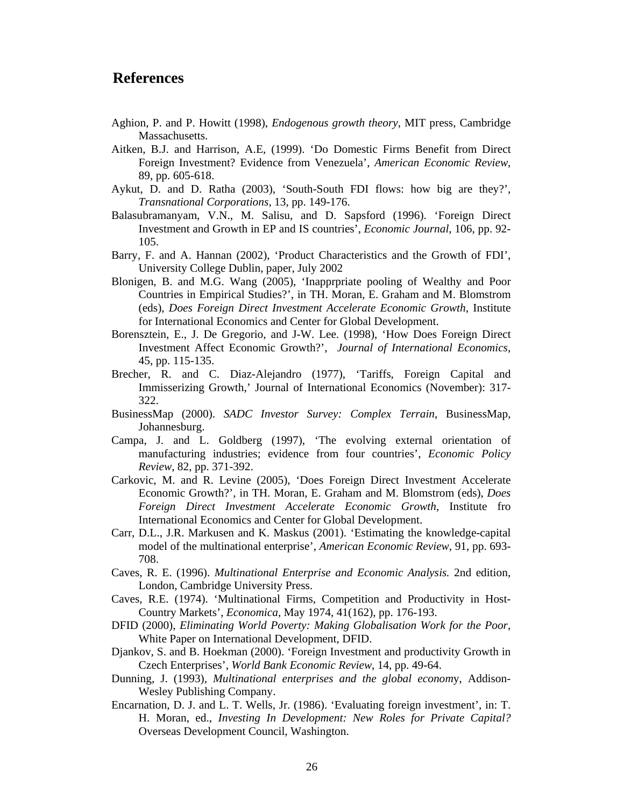### **References**

- Aghion, P. and P. Howitt (1998), *Endogenous growth theory*, MIT press, Cambridge Massachusetts.
- Aitken, B.J. and Harrison, A.E, (1999). 'Do Domestic Firms Benefit from Direct Foreign Investment? Evidence from Venezuela', *American Economic Review*, 89, pp. 605-618.
- Aykut, D. and D. Ratha (2003), 'South-South FDI flows: how big are they?', *Transnational Corporations*, 13, pp. 149-176.
- Balasubramanyam, V.N., M. Salisu, and D. Sapsford (1996). 'Foreign Direct Investment and Growth in EP and IS countries', *Economic Journal*, 106, pp. 92- 105.
- Barry, F. and A. Hannan (2002), 'Product Characteristics and the Growth of FDI', University College Dublin, paper, July 2002
- Blonigen, B. and M.G. Wang (2005), 'Inapprpriate pooling of Wealthy and Poor Countries in Empirical Studies?', in TH. Moran, E. Graham and M. Blomstrom (eds), *Does Foreign Direct Investment Accelerate Economic Growth*, Institute for International Economics and Center for Global Development.
- Borensztein, E., J. De Gregorio, and J-W. Lee. (1998), 'How Does Foreign Direct Investment Affect Economic Growth?', *Journal of International Economics*, 45, pp. 115-135.
- Brecher, R. and C. Diaz-Alejandro (1977), 'Tariffs, Foreign Capital and Immisserizing Growth,' Journal of International Economics (November): 317- 322.
- BusinessMap (2000). *SADC Investor Survey: Complex Terrain*, BusinessMap, Johannesburg.
- Campa, J. and L. Goldberg (1997), 'The evolving external orientation of manufacturing industries; evidence from four countries', *Economic Policy Review*, 82, pp. 371-392.
- Carkovic, M. and R. Levine (2005), 'Does Foreign Direct Investment Accelerate Economic Growth?', in TH. Moran, E. Graham and M. Blomstrom (eds), *Does Foreign Direct Investment Accelerate Economic Growth*, Institute fro International Economics and Center for Global Development.
- Carr, D.L., J.R. Markusen and K. Maskus (2001). 'Estimating the knowledge-capital model of the multinational enterprise', *American Economic Review*, 91, pp. 693- 708.
- Caves, R. E. (1996). *Multinational Enterprise and Economic Analysis.* 2nd edition, London, Cambridge University Press.
- Caves, R.E. (1974). 'Multinational Firms, Competition and Productivity in Host-Country Markets', *Economica*, May 1974, 41(162), pp. 176-193.
- DFID (2000), *Eliminating World Poverty: Making Globalisation Work for the Poor*, White Paper on International Development, DFID.
- Djankov, S. and B. Hoekman (2000). 'Foreign Investment and productivity Growth in Czech Enterprises', *World Bank Economic Review*, 14, pp. 49-64.
- Dunning, J. (1993), *Multinational enterprises and the global econom*y, Addison-Wesley Publishing Company.
- Encarnation, D. J. and L. T. Wells, Jr. (1986). 'Evaluating foreign investment', in: T. H. Moran, ed., *Investing In Development: New Roles for Private Capital?*  Overseas Development Council, Washington.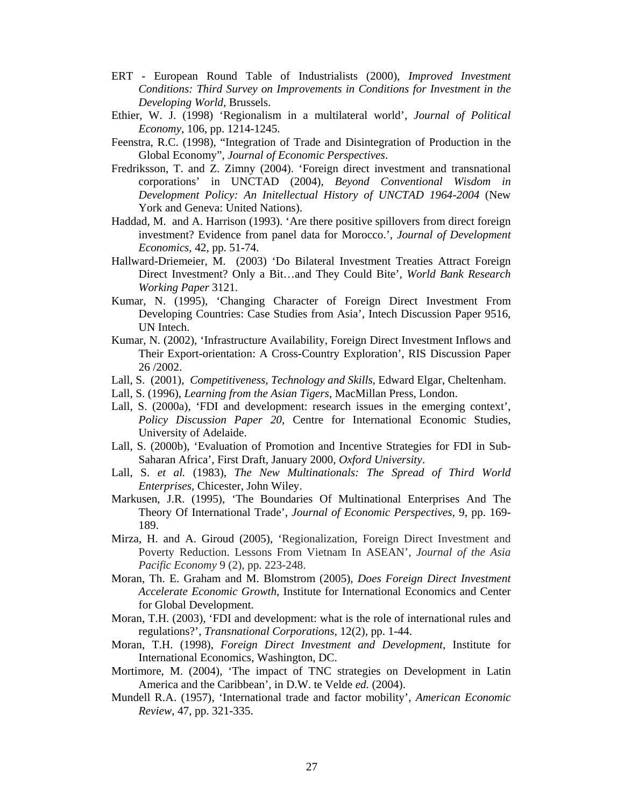- ERT European Round Table of Industrialists (2000), *Improved Investment Conditions: Third Survey on Improvements in Conditions for Investment in the Developing World*, Brussels.
- Ethier, W. J. (1998) 'Regionalism in a multilateral world', *Journal of Political Economy*, 106, pp. 1214-1245.
- Feenstra, R.C. (1998), "Integration of Trade and Disintegration of Production in the Global Economy", *Journal of Economic Perspectives*.
- Fredriksson, T. and Z. Zimny (2004). 'Foreign direct investment and transnational corporations' in UNCTAD (2004), *Beyond Conventional Wisdom in Development Policy: An Initellectual History of UNCTAD 1964-2004* (New York and Geneva: United Nations).
- Haddad, M. and A. Harrison (1993). 'Are there positive spillovers from direct foreign investment? Evidence from panel data for Morocco.', *Journal of Development Economics*, 42, pp. 51-74.
- Hallward-Driemeier, M. (2003) 'Do Bilateral Investment Treaties Attract Foreign Direct Investment? Only a Bit…and They Could Bite'*, World Bank Research Working Paper* 3121.
- Kumar, N. (1995), 'Changing Character of Foreign Direct Investment From Developing Countries: Case Studies from Asia', Intech Discussion Paper 9516, UN Intech.
- Kumar, N. (2002), 'Infrastructure Availability, Foreign Direct Investment Inflows and Their Export-orientation: A Cross-Country Exploration', RIS Discussion Paper 26 /2002.
- Lall, S. (2001), *Competitiveness, Technology and Skills*, Edward Elgar, Cheltenham.
- Lall, S. (1996), *Learning from the Asian Tigers*, MacMillan Press, London.
- Lall, S. (2000a), 'FDI and development: research issues in the emerging context', *Policy Discussion Paper 20*, Centre for International Economic Studies, University of Adelaide.
- Lall, S. (2000b), 'Evaluation of Promotion and Incentive Strategies for FDI in Sub-Saharan Africa', First Draft, January 2000, *Oxford University*.
- Lall, S. *et al.* (1983), *The New Multinationals: The Spread of Third World Enterprises*, Chicester, John Wiley.
- Markusen, J.R. (1995), 'The Boundaries Of Multinational Enterprises And The Theory Of International Trade', *Journal of Economic Perspectives*, 9, pp. 169- 189.
- Mirza, H. and A. Giroud (2005), 'Regionalization, Foreign Direct Investment and Poverty Reduction. Lessons From Vietnam In ASEAN', *Journal of the Asia Pacific Economy* 9 (2), pp. 223-248.
- Moran, Th. E. Graham and M. Blomstrom (2005), *Does Foreign Direct Investment Accelerate Economic Growth*, Institute for International Economics and Center for Global Development.
- Moran, T.H. (2003), 'FDI and development: what is the role of international rules and regulations?', *Transnational Corporations,* 12(2), pp. 1-44.
- Moran, T.H. (1998), *Foreign Direct Investment and Development*, Institute for International Economics, Washington, DC.
- Mortimore, M. (2004), 'The impact of TNC strategies on Development in Latin America and the Caribbean', in D.W. te Velde *ed.* (2004).
- Mundell R.A. (1957), 'International trade and factor mobility', *American Economic Review*, 47, pp. 321-335.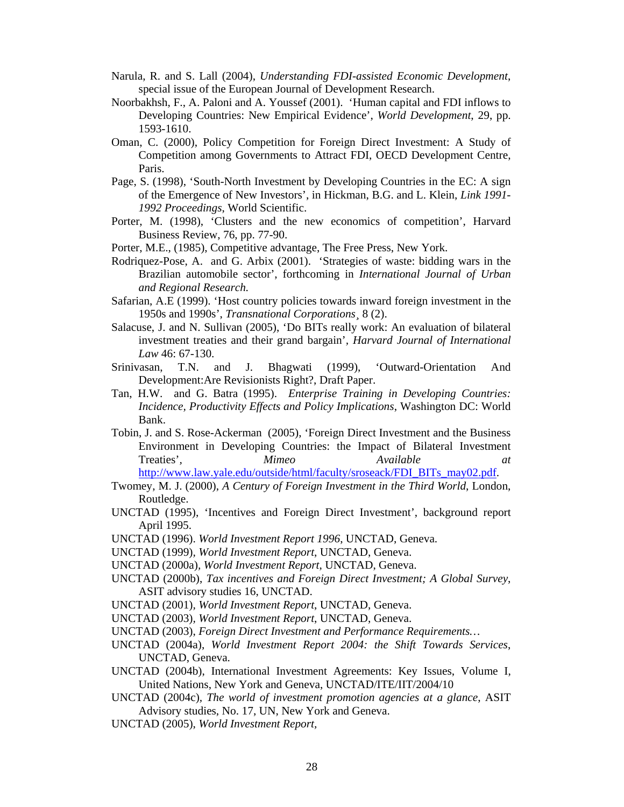- Narula, R. and S. Lall (2004), *Understanding FDI-assisted Economic Development*, special issue of the European Journal of Development Research.
- Noorbakhsh, F., A. Paloni and A. Youssef (2001). 'Human capital and FDI inflows to Developing Countries: New Empirical Evidence', *World Development*, 29, pp. 1593-1610.
- Oman, C. (2000), Policy Competition for Foreign Direct Investment: A Study of Competition among Governments to Attract FDI, OECD Development Centre, Paris.
- Page, S. (1998), 'South-North Investment by Developing Countries in the EC: A sign of the Emergence of New Investors', in Hickman, B.G. and L. Klein, *Link 1991- 1992 Proceedings*, World Scientific.
- Porter, M. (1998), 'Clusters and the new economics of competition', Harvard Business Review, 76, pp. 77-90.
- Porter, M.E., (1985), Competitive advantage, The Free Press, New York.
- Rodriquez-Pose, A. and G. Arbix (2001). 'Strategies of waste: bidding wars in the Brazilian automobile sector', forthcoming in *International Journal of Urban and Regional Research.*
- Safarian, A.E (1999). 'Host country policies towards inward foreign investment in the 1950s and 1990s', *Transnational Corporations¸* 8 (2).
- Salacuse, J. and N. Sullivan (2005), 'Do BITs really work: An evaluation of bilateral investment treaties and their grand bargain'*, Harvard Journal of International Law* 46: 67-130.
- Srinivasan, T.N. and J. Bhagwati (1999), 'Outward-Orientation And Development:Are Revisionists Right?, Draft Paper.
- Tan, H.W. and G. Batra (1995). *Enterprise Training in Developing Countries: Incidence, Productivity Effects and Policy Implications*, Washington DC: World Bank.
- Tobin, J. and S. Rose-Ackerman (2005), 'Foreign Direct Investment and the Business Environment in Developing Countries: the Impact of Bilateral Investment Treaties', Mimeo *Available*
- http://www.law.yale.edu/outside/html/faculty/sroseack/FDI\_BITs\_may02.pdf.
- Twomey, M. J. (2000), *A Century of Foreign Investment in the Third World*, London, Routledge.
- UNCTAD (1995), 'Incentives and Foreign Direct Investment', background report April 1995.
- UNCTAD (1996). *World Investment Report 1996*, UNCTAD, Geneva.
- UNCTAD (1999)*, World Investment Report*, UNCTAD, Geneva.
- UNCTAD (2000a)*, World Investment Report*, UNCTAD, Geneva.
- UNCTAD (2000b), *Tax incentives and Foreign Direct Investment; A Global Survey*, ASIT advisory studies 16, UNCTAD.
- UNCTAD (2001)*, World Investment Report*, UNCTAD, Geneva.
- UNCTAD (2003)*, World Investment Report*, UNCTAD, Geneva.
- UNCTAD (2003), *Foreign Direct Investment and Performance Requirements…*
- UNCTAD (2004a), *World Investment Report 2004: the Shift Towards Services*, UNCTAD, Geneva.
- UNCTAD (2004b), International Investment Agreements: Key Issues, Volume I, United Nations, New York and Geneva, UNCTAD/ITE/IIT/2004/10
- UNCTAD (2004c)*, The world of investment promotion agencies at a glance*, ASIT Advisory studies, No. 17, UN, New York and Geneva.
- UNCTAD (2005), *World Investment Report,*